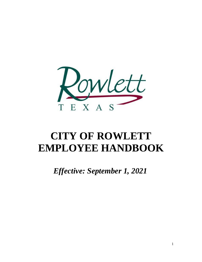

# **CITY OF ROWLETT EMPLOYEE HANDBOOK**

*Effective: September 1, 2021*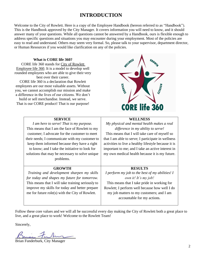# **INTRODUCTION**

Welcome to the City of Rowlett. Here is a copy of the Employee Handbook (hereon referred to as "Handbook"). This is the Handbook approved by the City Manager. It covers information you will need to know, and it should answer many of your questions. While all questions cannot be answered by a Handbook, ours is flexible enough to address specific questions and situations you may encounter during your employment. Most of the policies are easy to read and understand. Others may seem very formal. So, please talk to your supervisor, department director, or Human Resources if you would like clarification on any of the policies.

#### **What is CORE life 360?**

CORE life 360 stands for City of Rowlett Employee life 360. It is a model to develop well rounded employees who are able to give their very best over their career.

CORE life 360 is a declaration that Rowlett employees are our most valuable assets. Without you, we cannot accomplish our mission and make a difference in the lives of our citizens. We don't

build or sell merchandise. Instead, we serve. That is our CORE product! That is our purpose!

> **SERVICE** *I am here to serve! That is my purpose.* This means that I am the face of Rowlett to my customer; I advocate for the customer to meet their needs; I communicate with my customer to keep them informed because they have a right to know; and I take the initiative to look for solutions that may be necessary to solve unique problems.

> **GROWTH** *Training and development sharpen my skills for today and shapes my future for tomorrow.*  This means that I will take training seriously to improve my skills for today and better prepare me for future role(s) with the City of Rowlett.



# **WELLNESS**

*My physical and mental health makes a real difference in my ability to serve!*

This means that I will take care of myself so that I am able to serve; I participate in wellness activities to live a healthy lifestyle because it is important to me; and I take an active interest in my own medical health because it is my future.

#### **RESULTS**

*I perform my job to the best of my abilities! I own it! It's my job!* This means that I take pride in working for Rowlett; I perform well because how well I do my job matters to my customers; and I am accountable for my actions.

Follow these core values and we will all be successful every day making the City of Rowlett both a great place to live, and a great place to work! Welcome to the Rowlett Team!

Sincerely,

Brian Funderburk, City Manager

2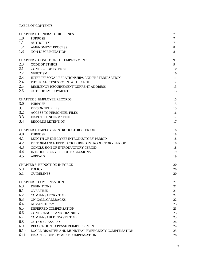#### TABLE OF CONTENTS

|      | <b>CHAPTER 1: GENERAL GUIDELINES</b>                | 7                |
|------|-----------------------------------------------------|------------------|
| 1.0  | <b>PURPOSE</b>                                      | $\boldsymbol{7}$ |
| 1.1  | <b>AUTHORITY</b>                                    | $\tau$           |
| 1.2  | <b>AMENDMENT PROCESS</b>                            | $8\,$            |
| 1.3  | NON-DISCRIMINATION                                  | 8                |
|      | <b>CHAPTER 2: CONDITIONS OF EMPLOYMENT</b>          | 9                |
| 2.0  | <b>CODE OF ETHICS</b>                               | 9                |
| 2.1  | <b>CONFLICT OF INTEREST</b>                         | 10               |
| 2.2  | <b>NEPOTISM</b>                                     | 10               |
| 2.3  | INTERPERSONAL RELATIONSHIPS AND FRATERNIZATION      | 11               |
| 2.4  | PHYSICAL FITNESS/MENTAL HEALTH                      | 12               |
| 2.5  | RESIDENCY REQUIREMENT/CURRENT ADDRESS               | 13               |
| 2.6  | <b>OUTSIDE EMPLOYMENT</b>                           | 13               |
|      | <b>CHAPTER 3: EMPLOYEE RECORDS</b>                  | 15               |
| 3.0  | <b>PURPOSE</b>                                      | 15               |
| 3.1  | PERSONNEL FILES                                     | 15               |
| 3.2  | <b>ACCESS TO PERSONNEL FILES</b>                    | 16               |
| 3.3  | DISPUTED INFORMATION                                | 17               |
| 3.4  | <b>RECORDS RETENTION</b>                            | 17               |
|      | CHAPTER 4: EMPLOYEE INTRODUCTORY PERIOD             | 18               |
| 4.0  | <b>PURPOSE</b>                                      | 18               |
| 4.1  | LENGTH OF EMPLOYEE INTRODUCTORY PERIOD              | 18               |
| 4.2  | PERFORMANCE FEEDBACK DURING INTRODUCTORY PERIOD     | 18               |
| 4.3  | CONCLUSION OF INTRODUCTORY PERIOD                   | 18               |
| 4.4  | <b>INTRODUCTORY PERIOD EXCLUSIONS</b>               | 19               |
| 4.5  | <b>APPEALS</b>                                      | 19               |
|      | <b>CHAPTER 5: REDUCTION IN FORCE</b>                | 20               |
| 5.0  | <b>POLICY</b>                                       | 20               |
| 5.1  | <b>GUIDELINES</b>                                   | 20               |
|      | <b>CHAPTER 6: COMPENSATION</b>                      | 21               |
| 6.0  | <b>DEFINITIONS</b>                                  | 21               |
| 6.1  | <b>OVERTIME</b>                                     | 21               |
| 6.2  | <b>COMPENSATORY TIME</b>                            | 22               |
| 6.3  | <b>ON-CALL/CALLBACKS</b>                            | 22               |
| 6.4  | <b>ADVANCE PAY</b>                                  | 23               |
| 6.5  | DEFERRED COMPENSATION                               | 23               |
| 6.6  | <b>CONFERENCES AND TRAINING</b>                     | 23               |
| 6.7  | <b>COMPENSABLE TRAVEL TIME</b>                      | 23               |
| 6.8  | <b>OUT OF CLASS PAY</b>                             | 24               |
| 6.9  | RELOCATION EXPENSE REIMBURSEMENT                    | 24               |
| 6.10 | LOCAL DISASTER AND MUNICIPAL EMERGENCY COMPENSATION | 25               |
| 6.11 | DISASTER DEPLOYMENT COMPENSATION                    | 28               |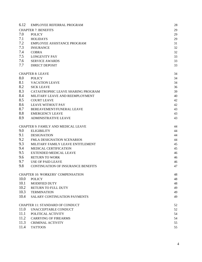| 6.12 | EMPLOYEE REFERRAL PROGRAM                  | 28 |
|------|--------------------------------------------|----|
|      | <b>CHAPTER 7: BENEFITS</b>                 | 29 |
| 7.0  | <b>POLICY</b>                              | 29 |
| 7.1  | <b>HOLIDAYS</b>                            | 29 |
| 7.2  | EMPLOYEE ASSISTANCE PROGRAM                | 31 |
| 7.3  | <b>INSURANCE</b>                           | 32 |
| 7.4  | <b>COBRA</b>                               | 32 |
| 7.5  | <b>LONGEVITY PAY</b>                       | 33 |
| 7.6  | <b>SERVICE AWARDS</b>                      | 33 |
| 7.7  | <b>DIRECT DEPOSIT</b>                      | 33 |
|      |                                            |    |
|      | <b>CHAPTER 8: LEAVE</b>                    | 34 |
| 8.0  | <b>POLICY</b>                              | 34 |
| 8.1  | <b>VACATION LEAVE</b>                      | 34 |
| 8.2  | <b>SICK LEAVE</b>                          | 36 |
| 8.3  | CATASTROPHIC LEAVE SHARING PROGRAM         | 39 |
| 8.4  | MILITARY LEAVE AND REEMPLOYMENT            | 40 |
| 8.5  | <b>COURT LEAVE</b>                         | 42 |
| 8.6  | <b>LEAVE WITHOUT PAY</b>                   | 42 |
| 8.7  | BEREAVEMENT/FUNERAL LEAVE                  | 43 |
| 8.8  | <b>EMERGENCY LEAVE</b>                     | 43 |
| 8.9  | <b>ADMINISTRATIVE LEAVE</b>                | 43 |
|      |                                            |    |
|      | <b>CHAPTER 9: FAMILY AND MEDICAL LEAVE</b> | 44 |
| 9.0  | <b>ELIGIBILITY</b>                         | 44 |
| 9.1  | <b>DESIGNATION</b>                         | 44 |
| 9.2  | <b>FMLA DESIGNATION SCENARIOS</b>          | 44 |
| 9.3  | MILITARY FAMILY LEAVE ENTITLEMENT          | 45 |
| 9.4  | <b>MEDICAL CERTIFICATION</b>               | 45 |
| 9.5  | <b>EXTENDED MEDICAL LEAVE</b>              | 46 |
| 9.6  | <b>RETURN TO WORK</b>                      | 46 |
| 9.7  | <b>USE OF PAID LEAVE</b>                   | 46 |
| 9.8  | <b>CONTINUATION OF INSURANCE BENEFITS</b>  | 47 |
|      | <b>CHAPTER 10: WORKERS' COMPENSATION</b>   | 48 |
| 10.0 | <b>POLICY</b>                              | 48 |
| 10.1 | <b>MODIFIED DUTY</b>                       | 48 |
| 10.2 | RETURN TO FULL DUTY                        | 49 |
| 10.3 | <b>TERMINATION</b>                         | 49 |
| 10.4 | SALARY CONTINUATION PAYMENTS               | 49 |
|      |                                            |    |
|      | <b>CHAPTER 11: STANDARD OF CONDUCT</b>     | 52 |
| 11.0 | UNACCEPTABLE CONDUCT                       | 52 |
| 11.1 | POLITICAL ACTIVITY                         | 54 |
| 11.2 | <b>CARRYING OF FIREARMS</b>                | 54 |
| 11.3 | <b>CRIMINAL ACTIVITY</b>                   | 55 |
| 11.4 | <b>TATTOOS</b>                             | 55 |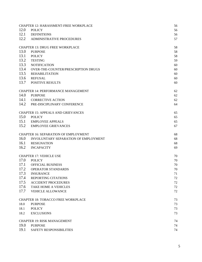|      | <b>CHAPTER 12: HARASSMENT-FREE WORKPLACE</b> | 56 |
|------|----------------------------------------------|----|
| 12.0 | <b>POLICY</b>                                | 56 |
| 12.1 | <b>DEFINITIONS</b>                           | 56 |
| 12.2 | <b>ADMINISTRATIVE PROCEDURES</b>             | 57 |
|      | <b>CHAPTER 13: DRUG FREE WORKPLACE</b>       | 58 |
| 13.0 | <b>PURPOSE</b>                               | 58 |
| 13.1 | <b>POLICY</b>                                | 58 |
| 13.2 | <b>TESTING</b>                               | 59 |
| 13.3 | <b>NOTIFICATION</b>                          | 60 |
| 13.4 | OVER-THE-COUNTER/PRESCRIPTION DRUGS          | 60 |
| 13.5 | <b>REHABILITATION</b>                        | 60 |
| 13.6 | <b>REFUSAL</b>                               | 60 |
| 13.7 | <b>POSITIVE RESULTS</b>                      | 60 |
|      | <b>CHAPTER 14: PERFORMANCE MANAGEMENT</b>    | 62 |
| 14.0 | <b>PURPOSE</b>                               | 62 |
| 14.1 | <b>CORRECTIVE ACTION</b>                     | 62 |
| 14.2 | PRE-DISCIPLINARY CONFERENCE                  | 64 |
|      | <b>CHAPTER 15: APPEALS AND GRIEVANCES</b>    | 65 |
| 15.0 | <b>POLICY</b>                                | 65 |
|      | 15.1 EMPLOYEE APPEALS                        | 65 |
| 15.2 | <b>EMPLOYEE GRIEVANCES</b>                   | 67 |
|      | <b>CHAPTER 16: SEPARATION OF EMPLOYMENT</b>  | 68 |
| 16.0 | INVOLUNTARY SEPARATION OF EMPLOYMENT         | 68 |
| 16.1 | <b>RESIGNATION</b>                           | 68 |
| 16.2 | <b>INCAPACITY</b>                            | 69 |
|      | <b>CHAPTER 17: VEHICLE USE</b>               | 70 |
| 17.0 | <b>POLICY</b>                                | 70 |
| 17.1 | OFFICIAL BUSINESS                            | 70 |
| 17.2 | OPERATOR STANDARDS                           | 70 |
| 17.3 | <b>INSURANCE</b>                             | 71 |
| 17.4 | <b>REPORTING CITATIONS</b>                   | 72 |
| 17.5 | <b>ACCIDENT PROCEDURES</b>                   | 72 |
| 17.6 | TAKE HOME A VEHICLES                         | 72 |
| 17.7 | <b>VEHICLE ALLOWANCE</b>                     | 72 |
|      | <b>CHAPTER 18: TOBACCO FREE WORKPLACE</b>    | 73 |
| 18.0 | <b>PURPOSE</b>                               | 73 |
| 18.1 | <b>POLICY</b>                                | 73 |
| 18.2 | <b>EXCLUSIONS</b>                            | 73 |
|      | <b>CHAPTER 19: RISK MANAGEMENT</b>           | 74 |
| 19.0 | <b>PURPOSE</b>                               | 74 |
| 19.1 | SAFETY RESPONSIBILITIES                      | 74 |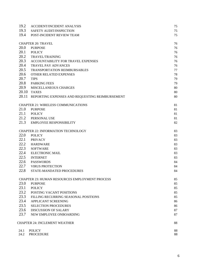| 19.2  | ACCIDENT/INCIDENT ANALYSIS                            | 75 |
|-------|-------------------------------------------------------|----|
| 19.3  | SAFETY AUDIT/INSPECTION                               | 75 |
| 19.4  | POST-INCIDENT REVIEW TEAM                             | 75 |
|       | <b>CHAPTER 20: TRAVEL</b>                             | 76 |
| 20.0  | <b>PURPOSE</b>                                        | 76 |
| 20.1  | <b>POLICY</b>                                         | 76 |
| 20.2  | <b>TRAVEL/TRAINING</b>                                | 76 |
| 20.3  | ACCOUNTABILITY FOR TRAVEL EXPENSES                    | 76 |
| 20.4  | <b>TRAVEL PAY ADVANCES</b>                            | 76 |
| 20.5  | <b>TRANSPORTATION REIMBURSABLES</b>                   | 77 |
| 20.6  | OTHER RELATED EXPENSES                                | 78 |
| 20.7  | <b>TIPS</b>                                           | 79 |
| 20.8  | <b>PARKING FEES</b>                                   | 79 |
| 20.9  | MISCELLANEOUS CHARGES                                 | 80 |
| 20.10 | <b>TAXES</b>                                          | 80 |
| 20.11 | REPORTING EXPENSES AND REQUESTING REIMBURSEMENT       | 80 |
|       | <b>CHAPTER 21: WIRELESS COMMUNICATIONS</b>            | 81 |
| 21.0  | <b>PURPOSE</b>                                        | 81 |
| 21.1  | <b>POLICY</b>                                         | 81 |
| 21.2  | PERSONAL USE                                          | 81 |
| 21.3  | <b>EMPLOYEE RESPONSIBILITY</b>                        | 82 |
|       | CHAPTER 22: INFORMATION TECHNOLOGY                    | 83 |
| 22.0  | <b>POLICY</b>                                         | 83 |
| 22.1  | <b>PRIVACY</b>                                        | 83 |
| 22.2  | <b>HARDWARE</b>                                       | 83 |
| 22.3  | <b>SOFTWARE</b>                                       | 83 |
| 22.4  | <b>ELECTRONIC MAIL</b>                                | 83 |
| 22.5  | <b>INTERNET</b>                                       | 83 |
| 22.6  | <b>PASSWORDS</b>                                      | 84 |
| 22.7  | <b>VIRUS PROTECTION</b>                               | 84 |
| 22.8  | STATE-MANDATED PROCEDURES                             | 84 |
|       | <b>CHAPTER 23: HUMAN RESOURCES EMPLOYMENT PROCESS</b> | 85 |
| 23.0  | <b>PURPOSE</b>                                        | 85 |
| 23.1  | <b>POLICY</b>                                         | 85 |
| 23.2  | <b>POSTING VACANT POSITIONS</b>                       | 85 |
| 23.3  | FILLING RECURRING SEASONAL POSITIONS                  | 85 |
| 23.4  | APPLICANT SCREENING                                   | 86 |
| 23.5  | <b>SELECTION PROCEDURES</b>                           | 86 |
| 23.6  | <b>DISCUSSION OF SALARY</b>                           | 87 |
| 23.7  | NEW EMPLOYEE ONBOARDING                               | 87 |
|       | CHAPTER 24: INCLEMENT WEATHER                         | 88 |
| 24.1  | <b>POLICY</b>                                         | 88 |
| 24.2  | <b>PROCEDURE</b>                                      | 88 |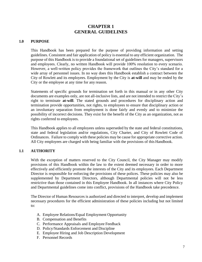# **CHAPTER 1 GENERAL GUIDELINES**

#### <span id="page-6-1"></span><span id="page-6-0"></span>**1.0 PURPOSE**

This Handbook has been prepared for the purpose of providing information and setting guidelines. Consistent and fair application of policy is essential to any efficient organization. The purpose of this Handbook is to provide a foundational set of guidelines for managers, supervisors and employees. Clearly, no written Handbook will provide 100% resolution to every scenario. However, a well-written policy provides the framework that outlines the City's standard for a wide array of personnel issues. In no way does this Handbook establish a contract between the City of Rowlett and its employees. Employment by the City is **at-will** and may be ended by the City or the employee at any time for any reason.

Statements of specific grounds for termination set forth in this manual or in any other City documents are examples only, are not all-inclusive lists, and are not intended to restrict the City's right to terminate **at-will**. The stated grounds and procedures for disciplinary action and termination provide opportunities, not rights, to employees to ensure that disciplinary action or an involuntary separation from employment is done fairly and evenly and to minimize the possibility of incorrect decisions. They exist for the benefit of the City as an organization, not as rights conferred to employees.

This Handbook applies to all employees unless superseded by the state and federal constitutions, state and federal legislation and/or regulations, City Charter, and City of Rowlett Code of Ordinances. Failure to comply with these policies may be cause for appropriate corrective action. All City employees are charged with being familiar with the provisions of this Handbook.

# <span id="page-6-2"></span>**1.1 AUTHORITY**

With the exception of matters reserved to the City Council, the City Manager may modify provisions of this Handbook within the law to the extent deemed necessary in order to more effectively and efficiently promote the interests of the City and its employees. Each Department Director is responsible for enforcing the provisions of these polices. These policies may also be supplemented by Department Directors, although Departmental policies will not be less restrictive than those contained in this Employee Handbook. In all instances where City Policy and Departmental guidelines come into conflict, provisions of the Handbook take precedence.

The Director of Human Resources is authorized and directed to interpret, develop and implement necessary procedures for the efficient administration of these policies including but not limited to:

- A. Employee Relations/Equal Employment Opportunity
- B. Compensation and Benefits
- C. Performance Appraisals and Employee Feedback
- D. Policy/Standards Enforcement and Discipline
- E. Employee Hiring and Job Description Development
- F. Personnel Records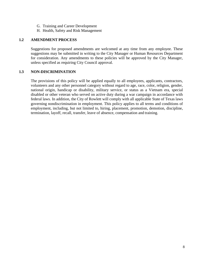- G. Training and Career Development
- H. Health, Safety and Risk Management

#### <span id="page-7-0"></span>**1.2 AMENDMENT PROCESS**

Suggestions for proposed amendments are welcomed at any time from any employee. These suggestions may be submitted in writing to the City Manager or Human Resources Department for consideration. Any amendments to these policies will be approved by the City Manager, unless specified as requiring City Council approval.

#### **1.3 NON-DISCRIMINATION**

The provisions of this policy will be applied equally to all employees, applicants, contractors, volunteers and any other personnel category without regard to age, race, color, religion, gender, national origin, handicap or disability, military service, or status as a Vietnam era, special disabled or other veteran who served on active duty during a war campaign in accordance with federal laws. In addition, the City of Rowlett will comply with all applicable State of Texas laws governing nondiscrimination in employment. This policy applies to all terms and conditions of employment, including, but not limited to, hiring, placement, promotion, demotion, discipline, termination, layoff, recall, transfer, leave of absence, compensation and training.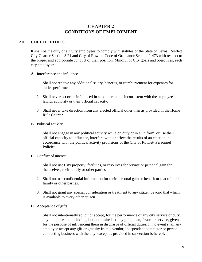# **CHAPTER 2 CONDITIONS OF EMPLOYMENT**

# <span id="page-8-0"></span>**2.0 CODE OF ETHICS**

It shall be the duty of all City employees to comply with statutes of the State of Texas, Rowlett City Charter Section 3.21 and City of Rowlett Code of Ordinance Section 2-473 with respect to the proper and appropriate conduct of their position. Mindful of City goals and objectives, each city employee:

**A.** Interference and influence.

- 1. Shall not receive any additional salary, benefits, or reimbursement for expenses for duties performed.
- 2. Shall never act or be influenced in a manner that is inconsistent with the employee's lawful authority or their official capacity.
- 3. Shall never take direction from any elected official other than as provided in the Home Rule Charter.
- **B.** Political activity
	- 1. Shall not engage in any political activity while on duty or in a uniform, or use their official capacity to influence, interfere with or affect the results of an election in accordance with the political activity provisions of the City of Rowlett Personnel Policies.
- **C.** Conflict of interest
	- 1. Shall not use City property, facilities, or resources for private or personal gain for themselves, their family or other parties.
	- 2. Shall not use confidential information for their personal gain or benefit or that of their family or other parties.
	- 3. Shall not grant any special consideration or treatment to any citizen beyond that which is available to every other citizen.
- **D.** Acceptance of gifts.
	- 1. Shall not intentionally solicit or accept, for the performance of any city service or duty, anything of value including, but not limited to, any gifts, loan, favor, or service, given for the purpose of influencing them in discharge of official duties. In no event shall any employee accept any gift or gratuity from a vendor, independent contractor or person conducting business with the city, except as provided in subsection b. hereof.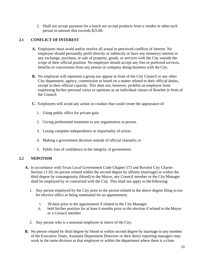2. Shall not accept payment for a lunch nor accept products from a vendor or other such person in amount that exceeds \$25.00.

# <span id="page-9-0"></span>**2.1 CONFLICT OF INTEREST**

- **A.** Employees must avoid and/or resolve all actual or perceived conflicts of interest. No employee should personally profit directly or indirectly or have any monetary interest in any exchange, purchase, or sale of property, goods, or services with the City outside the scope of their official position. No employee should accept any free or preferred services, benefits or concessions from any person or company doing business with the City.
- **B.** No employee will represent a group nor appear in front of the City Council or any other City department, agency, commission or board on a matter related to their official duties, except in their official capacity. This does not, however, prohibit an employee from expressing his/her personal views or opinions as an individual citizen of Rowlett in front of the Council.
- **C.** Employees will avoid any action or conduct that could create the appearance of:
	- 1. Using public office for private gain.
	- 2. Giving preferential treatment to any organization or person.
	- 3. Losing complete independence or impartiality of action.
	- 4. Making a government decision outside of official channels; or
	- 5. Public loss of confidence in the integrity of government.

# **2.2 NEPOTISM**

- **A.** In accordance with Texas Local Government Code Chapter 573 and Rowlett City Charter Section 11.03, no person related within the second degree by affinity (marriage) or within the third degree by consanguinity (blood) to the Mayor, any Council member or the City Manager shall be employed by or contracted with the City. This shall not apply to the following:
	- 1. Any person employed by the City prior to the person related in the above degree filing to run for elective office or being nominated for an appointment;
		- i. 30 days prior to the appointment if related to the City Manager.
		- ii. held his/her position for at least 6 months prior to the election if related to the Mayor or a Council member
	- 2. Any person who is a seasonal employee or intern of the City.
- **B.** No person related by third degree by blood or within second degree by marriage to any member of the Executive Team, Assistant Department Directors or their direct reporting managers may work in the same division as that employee or within the department where there is a close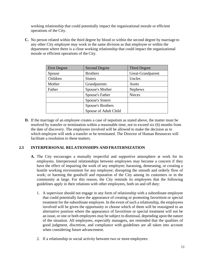<span id="page-10-0"></span>working relationship that could potentially impact the organizational morale or efficient operations of the City.

**C.** No person related within the third degree by blood or within the second degree by marriage to any other City employee may work in the same division as that employee or within the department where there is a close working relationship that could impact the organizational morale or efficient operations of the City.

| <b>First Degree</b> | <b>Second Degree</b>    | Third Degree      |
|---------------------|-------------------------|-------------------|
| Spouse              | <b>Brothers</b>         | Great-Grandparent |
| Children            | <b>Sisters</b>          | Uncles            |
| Mother              | Grandparents            | Aunts             |
| Father              | Spouse's Mother         | <b>Nephews</b>    |
|                     | Spouse's Father         | <b>Nieces</b>     |
|                     | <b>Spouse's Sisters</b> |                   |
|                     | Spouse's Brothers       |                   |
|                     | Spouse of Adult Child   |                   |

**D.** If the marriage of an employee creates a case of nepotism as stated above, the matter must be resolved by transfer or termination within a reasonable time, not to exceed six (6) months from the date of discovery. The employees involved will be allowed to make the decision as to which employee will seek a transfer or be terminated. The Director of Human Resources will facilitate a resolution to these matters.

# **2.3 INTERPERSONAL RELATIONSHIPS AND FRATERNIZATION**

- **A.** The City encourages a mutually respectful and supportive atmosphere at work for its employees. Interpersonal relationships between employees may become a concern if they have the effect of impairing the work of any employee; harassing, demeaning, or creating a hostile working environment for any employee; disrupting the smooth and orderly flow of work; or harming the goodwill and reputation of the City among its customers or in the community at large. For this reason, the City reminds its employees that the following guidelines apply in their relations with other employees, both on and off duty:
	- 1. A supervisor should not engage in any form of relationship with a subordinate employee that could potentially have the appearance of creating or promoting favoritism or special treatment for the subordinate employee. In the event of such a relationship, the employees involved will be given the opportunity to choose which of them will be reassigned to an alternative position where the appearance of favoritism or special treatment will not be an issue, or one or both employees may be subject to dismissal, depending upon the nature of the situation. All employees, especially managers, are reminded that the qualities of good judgment, discretion, and compliance with guidelines are all taken into account when considering future advancement.
	- 2. If a relationship or social activity between two or more employees: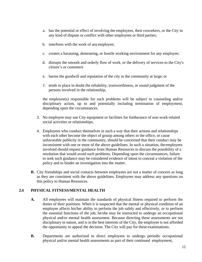- <span id="page-11-0"></span>a. has the potential or effect of involving the employees, their coworkers, or the City in any kind of dispute or conflict with other employees or third parties;
- b. interferes with the work of anyemployee;
- c. creates a harassing, demeaning, or hostile working environment for any employee;
- d. disrupts the smooth and orderly flow of work, or the delivery of services to the City's citizen's or customers
- e. harms the goodwill and reputation of the city in the community at large; or
- f. tends to place in doubt the reliability, trustworthiness, or sound judgment of the persons involved in the relationship,

the employee(s) responsible for such problems will be subject to counseling and/or disciplinary action, up to and potentially including termination of employment, depending upon the circumstances.

- 3. No employee may use City equipment or facilities for furtherance of non-work-related social activities or relationships.
- 4. Employees who conduct themselves in such a way that their actions and relationships with each other become the object of gossip among others in the office, or cause unfavorable publicity in the community, should be concerned that their conduct may be inconsistent with one or more of the above guidelines. In such a situation, theemployees involved should request guidance from Human Resources to discuss the possibility of a resolution that would avoid such problems. Depending upon the circumstances, failure to seek such guidance may be considered evidence of intent to conceal a violation of the policy and to hinder an investigation into the matter.
- **B.** City friendships and social contacts between employees are not a matter of concern as long as they are consistent with the above guidelines. Employees may address any questions on this policy to Human Resources.

# **2.4 PHYSICAL FITNESS/MENTAL HEALTH**

- **A.** All employees will maintain the standards of physical fitness required to perform the duties of their positions. When it is suspected that the mental or physical condition of an employee affects his/her ability to perform the job safely and effectively, or to perform the essential functions of the job, he/she may be instructed to undergo an occupational physical and/or mental health assessment. Because directing these assessments are not disciplinary in nature, and is in the best interests of the City, the employee is not afforded the opportunity to appeal the decision. The City will pay for these examinations.
- **B.** Departments are authorized to direct employees to undergo periodic occupational physical and/or mental health assessments as part of their continued employment,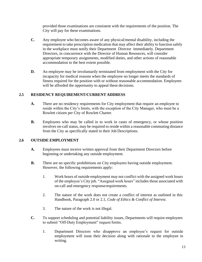provided those examinations are consistent with the requirements of the position. The City will pay for these examinations.

- **C.** Any employee who becomes aware of any physical/mental disability, including the requirement to take prescription medication that may affect their ability to function safely in the workplace must notify their Department Director immediately. Department Directors, in concurrence with the Director of Human Resources, will consider appropriate temporary assignments, modified duties, and other actions of reasonable accommodation to the best extent possible.
- **D.** An employee may be involuntarily terminated from employment with the City for incapacity for medical reasons when the employee no longer meets the standards of fitness required for the position with or without reasonable accommodation. Employees will be afforded the opportunity to appeal these decisions.

# <span id="page-12-0"></span>**2.5 RESIDENCY REQUIREMENT/CURRENT ADDRESS**

- **A.** There are no residency requirements for City employment that require an employee to reside within the City's limits, with the exception of the City Manager, who must be a Rowlett citizen per City of Rowlett Charter.
- **B.** Employees who may be called in to work in cases of emergency, or whose position involves on-call status, may be required to reside within a reasonable commuting distance from the City as specifically stated in their Job Descriptions.

# **2.6 OUTSIDE EMPLOYMENT**

- **A.** Employees must receive written approval from their Department Directors before beginning or undertaking any outside employment.
- **B.** There are no specific prohibitions on City employees having outside employment. However, the following requirements apply:
	- 1. Work hours of outside employment may not conflict with the assigned work hours of the employee's City job. "Assigned work hours" includes those associated with on-call and emergency responserequirements.
	- 2. The nature of the work does not create a conflict of interest as outlined in this Handbook, Paragraph 2.0 or 2.1, *Code of Ethics & Conflict of Interest*.
	- 3. The nature of the work is not illegal.
- **C.** To support scheduling and potential liability issues, Departments will require employees to submit "Off-Duty Employment" request forms.
	- 1. Department Directors who disapprove an employee's request for outside employment will issue their decision along with rationale to the employee in writing.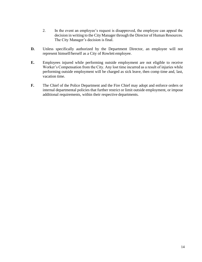- 2. In the event an employee's request is disapproved, the employee can appeal the decision in writing to the City Manager through the Director of Human Resources. The City Manager's decision is final.
- **D.** Unless specifically authorized by the Department Director, an employee will not represent himself/herself as a City of Rowlett employee.
- **E.** Employees injured while performing outside employment are not eligible to receive Worker's Compensation from the City. Any lost time incurred as a result of injuries while performing outside employment will be charged as sick leave, then comp time and, last, vacation time.
- **F.** The Chief of the Police Department and the Fire Chief may adopt and enforce orders or internal departmental policies that further restrict or limit outside employment, or impose additional requirements, within their respective departments.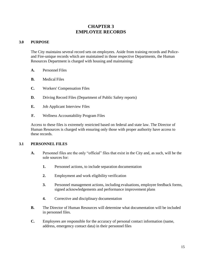# **CHAPTER 3 EMPLOYEE RECORDS**

# <span id="page-14-0"></span>**3.0 PURPOSE**

The City maintains several record sets on employees. Aside from training records and Policeand Fire-unique records which are maintained in those respective Departments, the Human Resources Department is charged with housing and maintaining:

- **A.** Personnel Files
- **B.** Medical Files
- **C.** Workers' Compensation Files
- **D.** Driving Record Files (Department of Public Safety reports)
- **E.** Job Applicant Interview Files
- **F.** Wellness Accountability Program Files

Access to these files is extremely restricted based on federal and state law. The Director of Human Resources is charged with ensuring only those with proper authority have access to these records.

# **3.1 PERSONNEL FILES**

- **A.** Personnel files are the only "official" files that exist in the City and, as such, will be the sole sources for:
	- **1.** Personnel actions, to include separation documentation
	- **2.** Employment and work eligibility verification
	- **3.** Personnel management actions, including evaluations, employee feedback forms, signed acknowledgements and performance improvement plans
	- **4.** Corrective and disciplinary documentation
- **B.** The Director of Human Resources will determine what documentation will be included in personnel files.
- **C.** Employees are responsible for the accuracy of personal contact information (name, address, emergency contact data) in their personnel files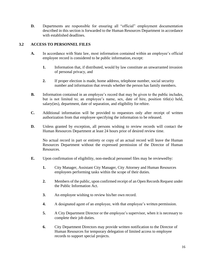<span id="page-15-0"></span>**D.** Departments are responsible for ensuring all "official" employment documentation described in this section is forwarded to the Human Resources Department in accordance with established deadlines.

# **3.2 ACCESS TO PERSONNEL FILES**

- **A.** In accordance with State law, most information contained within an employee's official employee record is considered to be public information, except:
	- **1.** Information that, if distributed, would by law constitute an unwarranted invasion of personal privacy, and
	- **2.** If proper election is made, home address, telephone number, social security number and information that reveals whether the person has family members.
- **B.** Information contained in an employee's record that may be given to the public includes, but is not limited to; an employee's name, sex, date of hire, position title(s) held, salary(ies), department, date of separation, and eligibility for rehire.
- **C.** Additional information will be provided to requestors only after receipt of written authorization from that employee specifying the information to be released.
- **D.** Unless granted by exception, all persons wishing to review records will contact the Human Resources Department at least 24 hours prior of desired review time.

No actual record in part or entirety or copy of an actual record will leave the Human Resources Department without the expressed permission of the Director of Human Resources.

- **E.** Upon confirmation of eligibility, non-medical personnel files may be reviewedby:
	- **1.** City Manager, Assistant City Manager, City Attorney and Human Resources employees performing tasks within the scope of their duties.
	- **2.** Members of the public, upon confirmed receipt of an Open Records Request under the Public Information Act.
	- **3.** An employee wishing to review his/her own record.
	- **4.** A designated agent of an employee, with that employee's written permission.
	- **5.** A City Department Director or the employee's supervisor, when it is necessary to complete their job duties.
	- **6.** City Department Directors may provide written notification to the Director of Human Resources for temporary delegation of limited access to employee records to support special projects.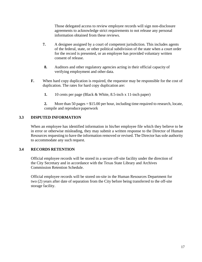Those delegated access to review employee records will sign non-disclosure agreements to acknowledge strict requirements to not release any personal information obtained from these reviews.

- <span id="page-16-0"></span>**7.** A designee assigned by a court of competent jurisdiction. This includes agents of the federal, state, or other political subdivision of the state when a court order for the record is presented, or an employee has provided voluntary written consent of release.
- **8.** Auditors and other regulatory agencies acting in their official capacity of verifying employment and other data.
- **F.** When hard copy duplication is required, the requestor may be responsible for the cost of duplication. The rates for hard copy duplication are:
	- **1.** 10 cents per page (Black & White, 8.5-inch x 11-inch paper)

**2.** More than 50 pages = \$15.00 per hour, including time required to research, locate, compile and reproduce paperwork

# **3.3 DISPUTED INFORMATION**

When an employee has identified information in his/her employee file which they believe to be in error or otherwise misleading, they may submit a written response to the Director of Human Resources requesting to have the information removed or revised. The Director has sole authority to accommodate any such request.

# **3.4 RECORDS RETENTION**

Official employee records will be stored in a secure off-site facility under the direction of the City Secretary and in accordance with the Texas State Library and Archives Commission Retention Schedule.

Official employee records will be stored on-site in the Human Resources Department for two (2) years after date of separation from the City before being transferred to the off-site storage facility.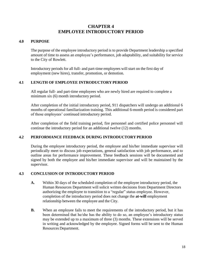# **CHAPTER 4 EMPLOYEE INTRODUCTORY PERIOD**

#### <span id="page-17-0"></span>**4.0 PURPOSE**

The purpose of the employee introductory period is to provide Department leadership a specified amount of time to assess an employee's performance, job adaptability, and suitability for service to the City of Rowlett.

Introductory periods for all full- and part-time employees will start on the first day of employment (new hires), transfer, promotion, or demotion.

# **4.1 LENGTH OF EMPLOYEE INTRODUCTORY PERIOD**

All regular full- and part-time employees who are newly hired are required to complete a minimum six (6) month introductory period.

After completion of the initial introductory period, 911 dispatchers will undergo an additional 6 months of operational familiarization training. This additional 6-month period is considered part of those employees' continued introductory period.

After completion of the field training period, fire personnel and certified police personnel will continue the introductory period for an additional twelve (12) months.

# **4.2 PERFORMANCE FEEDBACK DURING INTRODUCTORY PERIOD**

During the employee introductory period, the employee and his/her immediate supervisor will periodically meet to discuss job expectations, general satisfaction with job performance, and to outline areas for performance improvement. These feedback sessions will be documented and signed by both the employee and his/her immediate supervisor and will be maintained by the supervisor.

# **4.3 CONCLUSION OF INTRODUCTORY PERIOD**

- **A.** Within 30 days of the scheduled completion of the employee introductory period, the Human Resources Department will solicit written decisions from Department Directors authorizing the employee to transition to a "regular" status employee. However, completion of the introductory period does not change the **at-will** employment relationship between the employee and the City.
- **B.** When an employee fails to meet the requirements of the introductory period, but it has been determined that he/she has the ability to do so, an employee's introductory status may be extended up to a maximum of three (3) months. These extensions will be served in writing and acknowledged by the employee. Signed forms will be sent to the Human Resources Department.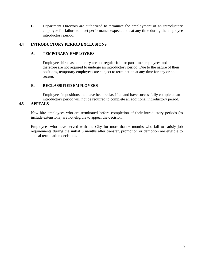<span id="page-18-0"></span>**C.** Department Directors are authorized to terminate the employment of an introductory employee for failure to meet performance expectations at any time during the employee introductory period.

# **4.4 INTRODUCTORY PERIOD EXCLUSIONS**

#### **A. TEMPORARY EMPLOYEES**

Employees hired as temporary are not regular full- or part-time employees and therefore are not required to undergo an introductory period. Due to the nature of their positions, temporary employees are subject to termination at any time for any or no reason.

# **B. RECLASSIFIED EMPLOYEES**

Employees in positions that have been reclassified and have successfully completed an introductory period will not be required to complete an additional introductory period.

# **4.5 APPEALS**

New hire employees who are terminated before completion of their introductory periods (to include extensions) are not eligible to appeal the decision.

Employees who have served with the City for more than 6 months who fail to satisfy job requirements during the initial 6 months after transfer, promotion or demotion are eligible to appeal termination decisions.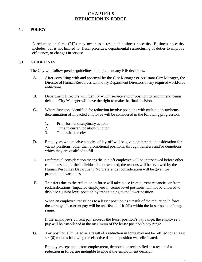# <span id="page-19-0"></span>**CHAPTER 5 REDUCTION IN FORCE**

# **5.0 POLICY**

A reduction in force (RIF) may occur as a result of business necessity. Business necessity includes, but is not limited to*;* fiscal priorities, departmental restructuring of duties to improve efficiency, or changes in service.

#### **5.1 GUIDELINES**

The City will follow precise guidelines to implement any RIF decisions.

- **A.** After consulting with and approval by the City Manager or Assistant City Manager, the Director of Human Resources will notify Department Directors of any required workforce reductions.
- **B.** Department Directors will identify which service and/or position to recommend being deleted. City Manager will have the right to make the final decision.
- **C.** Where functions identified for reduction involve positions with multiple incumbents, determination of impacted employee will be considered in the following progression:
	- 1. Prior formal disciplinary actions
	- 2. Time in current position/function
	- 3. Time with the city
- **D.** Employees who receive a notice of lay-off will be given preferential consideration for vacant positions, other than promotional positions, through transfers and/or demotions which they are qualified to fill.
- **E.** Preferential consideration means the laid off employee will be interviewed before other candidates and, if the individual is not selected, the reasons will be reviewed by the Human Resources Department. No preferential consideration will be given for promotional vacancies.
- **F.** Transfers due to the reduction in force will take place from current vacancies or from reclassifications. Impacted employees in senior level positions will not be allowed to displace a junior level position by transitioning to the lower position.

When an employee transitions to a lesser position as a result of the reduction in force, the employee's current pay will be unaffected if it falls within the lesser position's pay range.

If the employee's current pay exceeds the lesser position's pay range, the employee's pay will be established at the maximum of the lesser position's pay range.

**G.** Any position eliminated as a result of a reduction in force may not be refilled for at least six (6) months following the effective date the position was eliminated.

Employees separated from employment, demoted, or reclassified as a result of a reduction in force, are ineligible to appeal the employment decision.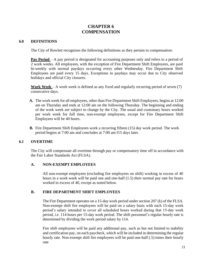# **CHAPTER 6 COMPENSATION**

#### <span id="page-20-0"></span>**6.0 DEFINITIONS**

The City of Rowlett recognizes the following definitions as they pertain to compensation:

**Pay Period** – A pay period is designated for accounting purposes only and refers to a period of 2 work weeks. All employees, with the exception of Fire Department Shift Employees, are paid bi-weekly with normal paydays occurring every other Wednesday. Fire Department Shift Employees are paid every 15 days. Exceptions to paydays may occur due to City observed holidays and official City closures.

**Work Week** – A work week is defined as any fixed and regularly recurring period of seven (7) consecutive days.

- **A.** The work week for all employees, other than Fire Department Shift Employees, begins at 12:00 am on Thursday and ends at 12:00 am on the following Thursday. The beginning and ending of the work week are subject to change by the City. The usual and customary hours worked per work week for full time, non-exempt employees, except for Fire Department Shift Employees will be 40 hours.
- **B.** Fire Department Shift Employees work a recurring fifteen (15) day work period. The work period begins at 7:00 am and concludes at 7:00 am f15 days later.

# **6.1 OVERTIME**

The City will compensate all overtime through pay or compensatory time off in accordance with the Fair Labor Standards Act (FLSA).

#### **A. NON-EXEMPT EMPLOYEES**

All non-exempt employees (excluding fire employees on shift) working in excess of 40 hours in a work week will be paid one and one-half (1.5) their normal pay rate for hours worked in excess of 40, except as noted below.

# **B. FIRE DEPARTMENT SHIFT EMPLOYEES**

The Fire Department operates on a 15-day work period under section 207 (k) of the FLSA. Non-exempt shift fire employees will be paid on a salary basis with each 15-day work period's salary intended to cover all scheduled hours worked during that 15-day work period, *i.e.* 114 hours per 15-day work period. The shift personnel's regular hourly rate is determined by dividing the work period salary by 114.

Fire shift employees will be paid any additional pay, such as but not limited to stability and certification pay, on each paycheck, which will be included in determining the regular hourly rate. Non-exempt shift fire employees will be paid one-half (.5) times their hourly rate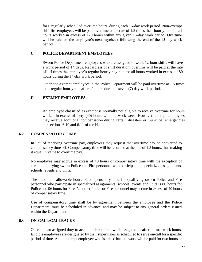<span id="page-21-0"></span>for 6 regularly scheduled overtime hours, during each 15-day work period. Non-exempt shift fire employees will be paid overtime at the rate of 1.5 times their hourly rate for all hours worked in excess of 120 hours within any given 15-day work period. Overtime will be paid on the employee's next paycheck following the end of the 15-day work period.

# **C. POLICE DEPARTMENT EMPLOYEES**

Sworn Police Department employees who are assigned to work 12-hour shifts will have a work period of 14 days. Regardless of shift duration, overtime will be paid at the rate of 1.5 times the employee's regular hourly pay rate for all hours worked in excess of 80 hours during the 14-day work period.

Other non-exempt employees in the Police Department will be paid overtime at 1.5 times their regular hourly rate after 40 hours during a seven (7) day work period.

# **D. EXEMPT EMPLOYEES**

An employee classified as exempt is normally not eligible to receive overtime for hours worked in excess of forty (40) hours within a work week. However, exempt employees may receive additional compensation during certain disasters or municipal emergencies per sections 6.10 and 6.11 of the Handbook.

# **6.2 COMPENSATORY TIME**

In lieu of receiving overtime pay, employees may request that overtime pay be converted to compensatory time off. Compensatory time will be recorded at the rate of 1.5 hours, thus making it equal in value to overtime pay.

No employee may accrue in excess of 40 hours of compensatory time with the exception of certain qualifying sworn Police and Fire personnel who participate in specialized assignments, schools, events and units.

The maximum allowable hours of compensatory time for qualifying sworn Police and Fire personnel who participate in specialized assignments, schools, events and units is 80 hours for Police and 96 hours for Fire. No other Police or Fire personnel may accrue in excess of 40 hours of compensatory time.

Use of compensatory time shall be by agreement between the employee and the Police Department, must be scheduled in advance, and may be subject to any general orders issued within the Department.

# **6.3 ON-CALL/CALLBACKS**

On-call is an assigned duty to accomplish required work assignments after normal work hours. Eligible employees are designated by their supervisors asscheduled to serve on-call for a specific period of time. A non-exempt employee who is called back to work will be paid for two hours or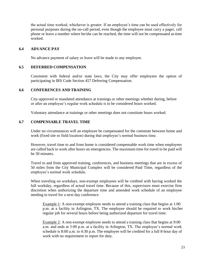the actual time worked, whichever is greater. If an employee's time can be used effectively for personal purposes during the on-call period, even though the employee must carry a pager, cell phone or leave a number where he/she can be reached, the time will not be compensated astime worked.

#### <span id="page-22-0"></span>**6.4 ADVANCE PAY**

No advance payment of salary or leave will be made to any employee.

#### **6.5 DEFERRED COMPENSATION**

Consistent with federal and/or state laws, the City may offer employees the option of participating in IRS Code Section 457 Deferring Compensation.

# **6.6 CONFERENCES AND TRAINING**

City-approved or mandated attendance at trainings or other meetings whether during, before or after an employee's regular work schedule is to be considered hours worked.

Voluntary attendance at trainings or other meetings does not constitute hours worked.

# **6.7 COMPENSABLE TRAVEL TIME**

Under no circumstances will an employee be compensated for the commute between home and work (fixed site or field location) during that employee's normal business time.

However, travel time to and from home is considered compensable work time when employees are called back to work after hours on emergencies. The maximum time for travel to be paid will be 30 minutes.

Travel to and from approved training, conferences, and business meetings that are in excess of 50 miles from the City Municipal Complex will be considered Paid Time, regardless of the employee's normal work schedule.

When traveling on workdays, non-exempt employees will be credited with having worked the full workday, regardless of actual travel time. Because of this, supervisors must exercise firm discretion when authorizing the departure time and amended work schedule of an employee needing to travel for a next day conference.

Example 1: A non-exempt employee needs to attend a training class that begins at 1:00 p.m. at a facility in Arlington, TX. The employee should be required to work his/her regular job for several hours before being authorized departure for travel time.

Example 2: A non-exempt employee needs to attend a training class that begins at 9:00 a.m. and ends at 3:00 p.m. at a facility in Arlington, TX. The employee's normal work schedule is 8:00 a.m. to 4:30 p.m. The employee will be credited for a full 8-hour day of work with no requirement to report for duty.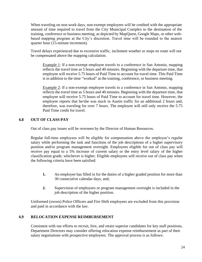When traveling on non-work days, non-exempt employees will be credited with the appropriate amount of time required to travel from the City Municipal Complex to the destination of the training, conference or business meeting, as depicted by MapQuest, Google Maps, or other webbased mapping program at the City's discretion. Travel time will be rounded to the nearest quarter hour (15-minute increment).

<span id="page-23-0"></span>Travel delays experienced due to excessive traffic, inclement weather or stops en route will not be compensated above the mapping calculation.

Example 1: If a non-exempt employee travels to a conference in San Antonio, mapping reflects the travel time as 5 hours and 40 minutes. Beginning with the departure time, that employee will receive 5.75 hours of Paid Time to account for travel time. This Paid Time is in addition to the time "worked" at the training, conference, or business meeting.

Example 2: If a non-exempt employee travels to a conference in San Antonio, mapping reflects the travel time as 5 hours and 40 minutes. Beginning with the departure time, that employee will receive 5.75 hours of Paid Time to account for travel time. However, the employee reports that he/she was stuck in Austin traffic for an additional 2 hours and, therefore, was traveling for over 7 hours. The employee will still only receive the 5.75 Paid Time credit for travel.

# **6.8 OUT OF CLASS PAY**

Out of class pay issues will be overseen by the Director of Human Resources.

Regular full-time employees will be eligible for compensation above the employee's regular salary while performing the task and functions of the job descriptions of a higher supervisory position and/or program management oversight. Employees eligible for out of class pay will receive pay equal to a 5% increase of current salary or the entry level salary of the higher classification grade, whichever is higher. Eligible employees will receive out of class pay when the following criteria have been satisfied:

- **1.** An employee has filled in for the duties of a higher graded position for more than 30 consecutive calendar days, and;
- **2.** Supervision of employees or program management oversight is included in the job description of the higher position.

Uniformed (sworn) Police Officers and Fire Shift employees are excluded from this provision and paid in accordance with the law.

# **6.9 RELOCATION EXPENSE REIMBURSEMENT**

Consistent with our efforts to recruit, hire, and retain superior candidates for key staff positions, Department Directors may consider offering relocation expense reimbursement as part of their salary negotiations with prospective employees. The approval process is as follows: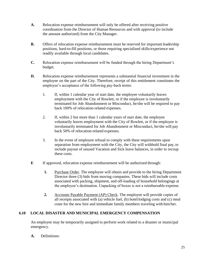- **A.** Relocation expense reimbursement will only be offered after receiving positive coordination from the Director of Human Resources and with approval (to include the amount authorized) from the City Manager.
- **B.** Offers of relocation expense reimbursement must be reserved for important leadership positions, hard-to-fill positions, or those requiring specialized skills/experience not readily available through local candidates.
- **C.** Relocation expense reimbursement will be funded through the hiring Department's budget.
- **D.** Relocation expense reimbursement represents a substantial financial investment in the employee on the part of the City. Therefore, receipt of this entitlement constitutes the employee's acceptance of the following pay-back terms:
	- 1. If, within 1 calendar year of start date, the employee voluntarily leaves employment with the City of Rowlett, or if the employee is involuntarily terminated for Job Abandonment or Misconduct, he/she will be required to pay back 100% of relocation-related expenses.
	- 2. If, within 2 but more than 1 calendar years of start date, the employee voluntarily leaves employment with the City of Rowlett, or if the employee is involuntarily terminated for Job Abandonment or Misconduct, he/she will pay back 50% of relocation-related expenses.
	- 3. In the event of employee refusal to comply with these requirements upon separation from employment with the City, the City will withhold final pay, to include payout of unused Vacation and Sick leave balances, in order to recoup these costs.
- **E** If approved, relocation expense reimbursement will be authorized through:
	- **1.** Purchase Order. The employee will obtain and provide to the hiring Department Director three (3) bids from moving companies. These bids will include costs associated with packing, shipment, and off-loading of household belongings at the employee's destination. Unpacking of boxes is not a reimbursable expense.
	- **2.** Accounts Payable Payment (AP) Check. The employee will provide copies of all receipts associated with (a) vehicle fuel, (b) hotel/lodging costs and (c) meal costs for the new hire and immediate family members traveling with him/her.

# **6.10 LOCAL DISASTER AND MUNICIPAL EMERGENCY COMPENSATION**

An employee may be temporarily assigned to perform work related to a disaster or municipal emergency.

**A.** Definitions: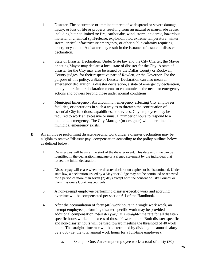- 1. Disaster: The occurrence or imminent threat of widespread or severe damage, injury, or loss of life or property resulting from an natural or man-made cause, including but not limited to: fire, earthquake, wind, storm, epidemic, hazardous material or chemical spill/release, explosion, riot, extreme temperature, winter storm, critical infrastructure emergency, or other public calamity requiring emergency action. A disaster may result in the issuance of a state of disaster declaration.
- 2. State of Disaster Declaration: Under State law and the City Charter, the Mayor or acting Mayor may declare a local state of disaster for the City. A state of disaster for the City may also be issued by the Dallas County or Rockwall County judges, for their respective part of Rowlett, or the Governor. For the purpose of this policy, a State of Disaster Declaration can also mean an emergency declaration, a disaster declaration, a state of emergency declaration, or any other similar declaration meant to communicate the need for emergency actions and powers beyond those under normal conditions.
- 3. Municipal Emergency: An uncommon emergency affecting City employees, facilities, or operations in such a way as to threaten the continuation of essential City functions, capabilities, or services. City employees may be required to work an excessive or unusual number of hours to respond to a municipal emergency. The City Manager (or designee) will determine if a municipal emergency exists.
- **B.** An employee performing disaster-specific work under a disaster declaration may be eligible to receive "disaster pay" compensation according to the policy outlines below. as defined below:
	- 1. Disaster pay will begin at the start of the disaster event. This date and time can be identified in the declaration language or a signed statement by the individual that issued the initial declaration.
	- 2. Disaster pay will cease when the disaster declaration expires or is discontinued. Under state law, a declaration issued by a Mayor or Judge may not be continued or renewed for a period of more than seven (7) days except with the consent of City Council or Commissioners Court, respectively.
	- 3. A non-exempt employee performing disaster-specific work and accruing overtime will be compensated per section 6.1 of the Handbook.
	- 4. After the accumulation of forty (40) work hours in a single work week, an exempt employee performing disaster-specific work may be provided additional compensation, "disaster pay," at a straight-time rate for all disasterspecific hours worked in excess of those 40 work hours. Both disaster-specific and non-disaster hours will be used toward meeting the threshold of 40 work hours. The straight-time rate will be determined by dividing the annual salary by 2,080 (i.e. the total annual work hours for a full-time employee).
		- a. Example One: An exempt employee works a total of thirty (30)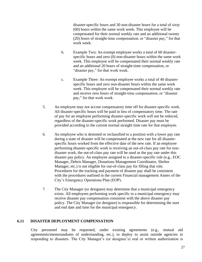disaster-specific hours and 30 non-disaster hours for a total of sixty (60) hours within the same work week. This employee will be compensated for their normal weekly rate and an additional twenty (20) hours of straight-time compensation, or "disaster pay," for that work week.

- b. Example Two: An exempt employee works a total of 60 disasterspecific hours and zero (0) non-disaster hours within the same work week. This employee will be compensated their normal weekly rate and an additional 20 hours of straight-time compensation, or "disaster pay," for that work week.
- c. Example Three: An exempt employee works a total of 40 disasterspecific hours and zero non-disaster hours within the same work week. This employee will be compensated their normal weekly rate and receive zero hours of straight-time compensation, or "disaster pay," for that work week.
- 5. An employee may not accrue compensatory time off for disaster-specific work. All disaster-specific hours will be paid in lieu of compensatory time. The rate of pay for an employee performing disaster-specific work will not be reduced, regardless of the disaster-specific work performed. Disaster pay must be provided according to the current normal straight time rate for that employee.
- 6. An employee who is demoted or reclassified to a position with a lower pay rate during a state of disaster will be compensated at the new rate for all disasterspecific hours worked from the effective date of the new rate. If an employee performing disaster-specific work is receiving an out-of-class pay rate for nondisaster work, the out-of-class pay rate will be used as the pay rate under this disaster pay policy. An employee assigned to a disaster-specific role (e.g., EOC Manager, Debris Manager, Donations Management Coordinator, Shelter Manager, etc.) is not eligible for out-of-class pay for filling that role. Procedures for the tracking and payment of disaster pay shall be consistent with the procedures outlined in the current Financial management Annex of the City's Emergency Operations Plan (EOP).
- 7. The City Manager (or designee) may determine that a municipal emergency exists. All employees performing work specific to a municipal emergency may receive disaster pay compensation consistent with the above disaster pay policy. The City Manager (or designee) is responsible for determining the start and end date and time for the municipal emergency.

#### **6.11 DISASTER DEPLOYMENT COMPENSATION**

City personnel may be requested, under existing agreements (e.g., mutual aid agreements/memorandums of understanding, etc.), to deploy to assist outside agencies in responding to disasters. The City Manager's (or designee's) oral or written authorization is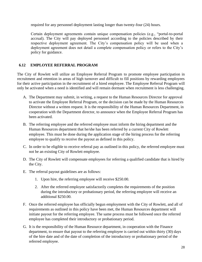required for any personnel deployment lasting longer than twenty-four (24) hours.

Certain deployment agreements contain unique compensation policies (e.g., "portal-to-portal accrual). The City will pay deployed personnel according to the policies described by their respective deployment agreement. The City's compensation policy will be used when a deployment agreement does not detail a complete compensation policy or refers to the City's policy for guidance.

# **6.12 EMPLOYEE REFERRAL PROGRAM**

The City of Rowlett will utilize an Employee Referral Program to promote employee participation in recruitment and retention in areas of high turnover and difficult to fill positions by rewarding employees for their active participation in the recruitment of a hired employee. The Employee Referral Program will only be activated when a need is identified and will remain dormant when recruitment is less challenging.

- A. The Department may submit, in writing, a request to the Human Resources Director for approval to activate the Employee Referral Program, or the decision can be made by the Human Resources Director without a written request. It is the responsibility of the Human Resources Department, in cooperation with the Department director, to announce when the Employee Referral Program has been activated.
- B. The referring employee and the referred employee must inform the hiring department and the Human Resources department that he/she has been referred by a current City of Rowlett employee. This must be done during the application stage of the hiring process for the referring employee to qualify to receive the payout as defined in this policy.
- C. In order to be eligible to receive referral pay as outlined in this policy, the referred employee must not be an existing City of Rowlett employee.
- D. The City of Rowlett will compensate employees for referring a qualified candidate that is hired by the City.
- E. The referral payout guidelines are as follows:
	- 1. Upon hire, the referring employee will receive \$250.00.
	- 2. After the referred employee satisfactorily completes the requirements of the position during the introductory or probationary period, the referring employee will receive an additional \$250.00.
- F. Once the referred employee has officially begun employment with the City of Rowlett, and all of requirements as outlined in this policy have been met, the Human Resources department will initiate payout for the referring employee. The same process must be followed once the referred employee has completed their introductory or probationary period.
- <span id="page-27-0"></span>G. It is the responsibility of the Human Resource department, in cooperation with the Finance department, to ensure that payout to the referring employee is carried out within thirty (30) days of the hire date and of the date of completion of the introductory or probationary period of the referred employee.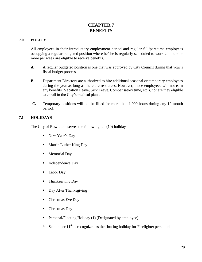# **CHAPTER 7 BENEFITS**

# **7.0 POLICY**

All employees in their introductory employment period and regular full/part time employees occupying a regular budgeted position where he/she is regularly scheduled to work 20 hours or more per week are eligible to receive benefits.

- **A.** A regular budgeted position is one that was approved by City Council during that year's fiscal budget process.
- **B.** Department Directors are authorized to hire additional seasonal or temporary employees during the year as long as there are resources. However, those employees will not earn any benefits (Vacation Leave, Sick Leave, Compensatory time, etc.), nor are they eligible to enroll in the City's medical plans.
- **C.** Temporary positions will not be filled for more than 1,000 hours during any 12-month period.

# **7.1 HOLIDAYS**

The City of Rowlett observes the following ten (10) holidays:

- New Year's Day
- Martin Luther King Day
- Memorial Day
- Independence Day
- Labor Day
- Thanksgiving Day
- Day After Thanksgiving
- Christmas Eve Day
- Christmas Day
- Personal/Floating Holiday (1) (Designated by employee)
- \* September 11<sup>th</sup> is recognized as the floating holiday for Firefighter personnel.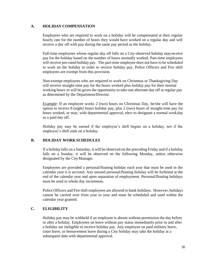# **A. HOLIDAY COMPENSATION**

Employees who are required to work on a holiday will be compensated at their regular hourly rate for the number of hours they would have worked on a regular day and will receive a day off with pay during the same pay period as the holiday.

Full-time employees whose regular day off falls on a City-observed holiday mayreceive pay for the holiday based on the number of hours normally worked. Part-time employees will receive pro-rated holiday pay. The part-time employee does not have to be scheduled to work on the holiday in order to receive holiday pay. Police Officers and Fire shift employees are exempt from this provision.

Non-exempt employees who are required to work on Christmas or Thanksgiving Day will receive straight-time pay for the hours worked plus holiday pay for their normal working hours or will be given the opportunity to take one alternate day off at regular pay as determined by the DepartmentDirector.

Example: If an employee works 2 (two) hours on Christmas Day, he/she will have the option to receive 8 (eight) hours holiday pay, plus 2 (two) hours of straight-time pay for hours worked, or may, with departmental approval, elect to designate a normal workday as a paid day off.

Holiday pay may be earned if the employee's shift begins on a holiday, not if the employee's shift ends on a holiday.

# **B. HOLIDAY WORK SCHEDULES**

If a holiday falls on a Saturday, it will be observed on the preceding Friday and if a holiday falls on a Sunday, it will be observed on the following Monday, unless otherwise designated by the CityManager.

Employees are provided a personal/floating holiday each year that must be used in the calendar year it is accrued. Any unused personal/floating holiday will be forfeited at the end of the calendar year and upon separation of employment. Personal/floating holidays must be used in whole day increments.

Police Officers and Fire shift employees are allowed to bank holidays. However, holidays cannot be carried over from year to year and must be scheduled and used within the calendar year granted.

# **C. ELIGIBILITY**

Holiday pay may be withheld if an employee is absent without permission the day before or after a holiday. Employees on leave without pay status immediately prior to and after a holiday are ineligible to receive holiday pay. Any employee on paid military leave, court leave, or bereavement leave during a City holiday may take the holiday at a subsequent date with departmental approval.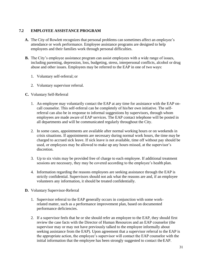# <span id="page-30-0"></span>**7.2 EMPLOYEE ASSISTANCE PROGRAM**

- **A.** The City of Rowlett recognizes that personal problems can sometimes affect an employee's attendance or work performance. Employee assistance programs are designed to help employees and their families work through personal difficulties.
- **B.** The City's employee assistance program can assist employees with a wide range of issues, including parenting, depression, loss, budgeting, stress, interpersonal conflicts, alcohol or drug abuse and other issues. Employees may be referred to the EAP in one of two ways:
	- 1. Voluntary self-referral; or
	- 2. Voluntary supervisor referral.
- **C.** Voluntary Self-Referral
	- 1. An employee may voluntarily contact the EAP at any time for assistance with the EAP oncall counselor. This self-referral can be completely of his/her own initiative. The selfreferral can also be in response to informal suggestions by supervisors, through whom employees are made aware of EAP services. The EAP contact telephone will be posted in all departments and will be communicated regularly throughout the City.
	- 2. In some cases, appointments are available after normal working hours or on weekends in crisis situations. If appointments are necessary during normal work hours, the time may be charged to accrued sick leave. If sick leave is not available, time off without pay should be used, or employees may be allowed to make up any hours missed, at the supervisor's discretion.
	- 3. Up to six visits may be provided free of charge to each employee. If additional treatment sessions are necessary, they may be covered according to the employee's health plan.
	- 4. Information regarding the reasons employees are seeking assistance through the EAP is strictly confidential. Supervisors should not ask what the reasons are and, if an employee volunteers any information, it should be treated confidentially.
- **D.** Voluntary Supervisor-Referral
	- 1. Supervisor referral to the EAP generally occurs in conjunction with some workrelated matter, such as a performance improvement plan, based on documented performance deficiencies.
	- 2. If a supervisor feels that he or she should refer an employee to the EAP, they should first review the case facts with the Director of Human Resources and an EAP counselor (the supervisor may or may not have previously talked to the employee informally about seeking assistance from the EAP). Upon agreement that a supervisor referral to the EAP is the appropriate action, the employee's supervisor will contact the EAP counselor with the initial information that the employee has been strongly suggested to contact theEAP.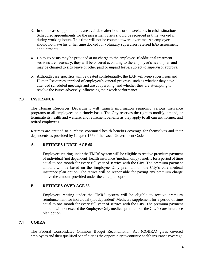- <span id="page-31-0"></span>3. In some cases, appointments are available after hours or on weekends in crisis situations. Scheduled appointments for the assessment visits should be recorded as time worked if during working hours. This time will not be counted toward overtime. An employee should not have his or her time docked for voluntary supervisor referred EAP assessment appointments.
- 4. Up to six visits may be provided at no charge to the employee. If additional treatment sessions are necessary, they will be covered according to the employee's health plan and may be charged to sick leave or other paid or unpaid leave, subject to supervisor approval.
- 5. Although case specifics will be treated confidentially, the EAP will keep supervisors and Human Resources apprised of employee's general progress, such as whether they have attended scheduled meetings and are cooperating, and whether they are attempting to resolve the issues adversely influencing their work performance.

# **7.3 INSURANCE**

The Human Resources Department will furnish information regarding various insurance programs to all employees on a timely basis. The City reserves the right to modify, amend, or terminate its health and welfare, and retirement benefits as they apply to all current, former, and retired employees.

Retirees are entitled to purchase continued health benefits coverage for themselves and their dependents as provided by Chapter 175 of the Local Government Code.

# **A. RETIREES UNDER AGE 65**

Employees retiring under the TMRS system will be eligible to receive premium payment of individual (not dependent) health insurance (medical only) benefits for a period of time equal to one month for every full year of service with the City. The premium payment amount will be based on the Employee Only premium on the City's core medical insurance plan option. The retiree will be responsible for paying any premium charge above the amount provided under the core plan option.

# **B. RETIREES OVER AGE 65**

Employees retiring under the TMRS system will be eligible to receive premium reimbursement for individual (not dependent) Medicare supplement for a period of time equal to one month for every full year of service with the City. The premium payment amount will not exceed the Employee Only medical premium on the City's core insurance plan option.

# **7.4 COBRA**

The Federal Consolidated Omnibus Budget Reconciliation Act (COBRA) gives covered employees and their qualified beneficiaries the opportunity to continue health insurance coverage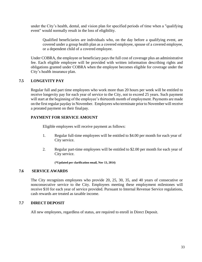<span id="page-32-0"></span>under the City's health, dental, and vision plan for specified periods of time when a "qualifying event" would normally result in the loss of eligibility.

Qualified beneficiaries are individuals who, on the day before a qualifying event, are covered under a group health plan as a covered employee, spouse of a covered employee, or a dependent child of a covered employee.

Under COBRA, the employee or beneficiary pays the full cost of coverage plus an administrative fee. Each eligible employee will be provided with written information describing rights and obligations granted under COBRA when the employee becomes eligible for coverage under the City's health insurance plan.

# **7.5 LONGEVITY PAY**

Regular full and part time employees who work more than 20 hours per week will be entitled to receive longevity pay for each year of service to the City, not to exceed 25 years. Such payment will start at the beginning of the employee's thirteenth month of employment. Payments are made on the first regular payday in November. Employees who terminate priorto November will receive a prorated payment on their finalpay.

# **PAYMENT FOR SERVICE AMOUNT**

Eligible employees will receive payment as follows:

- 1. Regular full-time employees will be entitled to \$4.00 per month for each year of City service.
- 2. Regular part-time employees will be entitled to \$2.00 per month for each year of City service.

**(\*Updated per clarification email, Nov 13, 2014)**

# **7.6 SERVICE AWARDS**

The City recognizes employees who provide 20, 25, 30, 35, and 40 years of consecutive or nonconsecutive service to the City. Employees meeting these employment milestones will receive \$10 for each year of service provided. Pursuant to Internal Revenue Service regulations, cash rewards are treated as taxable income.

# **7.7 DIRECT DEPOSIT**

All new employees, regardless of status, are required to enroll in Direct Deposit.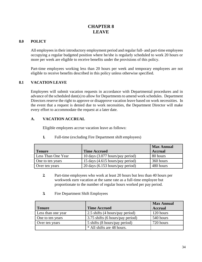# **CHAPTER 8 LEAVE**

# <span id="page-33-0"></span>**8.0 POLICY**

All employees in their introductory employment period and regular full- and part-time employees occupying a regular budgeted position where he/she is regularly scheduled to work 20 hours or more per week are eligible to receive benefits under the provisions of this policy.

Part-time employees working less than 20 hours per week and temporary employees are not eligible to receive benefits described in this policy unless otherwise specified.

# **8.1 VACATION LEAVE**

Employees will submit vacation requests in accordance with Departmental procedures and in advance of the scheduled date(s) to allow for Departments to amend work schedules. Department Directors reserve the right to approve or disapprove vacation leave based on work necessities. In the event that a request is denied due to work necessities, the Department Director will make every effort to accommodate the request at a later date.

# **A. VACATION ACCRUAL**

Eligible employees accrue vacation leave as follows:

|                    |                                  | <b>Max Annual</b> |
|--------------------|----------------------------------|-------------------|
| <b>Tenure</b>      | <b>Time Accrued</b>              | <b>Accrual</b>    |
| Less Than One Year | 10 days (3.077 hours/pay period) | 80 hours          |
| One to ten years   | 15 days (4.615 hours/pay period) | 360 hours         |
| Over ten years     | 20 days (6.153 hours/pay period) | 480 hours         |

**1.** Full-time (excluding Fire Department shift employees)

- **2.** Part-time employees who work at least 20 hours but less than 40 hours per workweek earn vacation at the same rate as a full-time employee but proportionate to the number of regular hours worked per pay period.
- **3.** Fire Department Shift Employees

|                    |                                  | <b>Max Annual</b> |
|--------------------|----------------------------------|-------------------|
| <b>Tenure</b>      | <b>Time Accrued</b>              | <b>Accrual</b>    |
| Less than one year | 2.5 shifts (4 hours/pay period)  | 120 hours         |
| One to ten years   | 3.75 shifts (6 hours/pay period) | 540 hours         |
| Over ten years     | 5 shifts (8 hours/pay period)    | 720 hours         |
|                    | * All shifts are 48 hours.       |                   |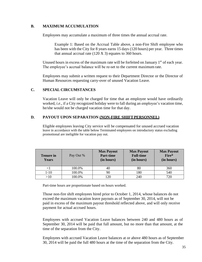# **B. MAXIMUM ACCUMULATION**

Employees may accumulate a maximum of three times the annual accrual rate.

Example 1: Based on the Accrual Table above, a non-Fire Shift employee who has been with the City for 8 years earns 15 days (120 hours) per year. Three times that annual accrual rate  $(120 \text{ X } 3)$  equates to 360 hours.

Unused hours in excess of the maximum rate will be forfeited on January 1<sup>st</sup> of each year. The employee's accrual balance will be re-set to the current maximum rate.

Employees may submit a written request to their Department Director or the Director of Human Resources requesting carry-over of unused Vacation Leave.

# **C. SPECIAL CIRCUMSTANCES**

Vacation Leave will only be charged for time that an employee would have ordinarily worked, *i.e*., if a City recognized holiday were to fall during an employee's vacation time, he/she would not be charged vacation time for that day.

# **D. PAYOUT UPON SEPARATION (NON-FIRE SHIFTPERSONNEL)**

Eligible employees leaving City service will be compensated for unused accrued vacation leave in accordance with the table below Terminated employees on introductory status excluding promotional are ineligible for vacation pay out.

| <b>Tenure in</b><br><b>Years</b> | Pay Out % | <b>Max Payout</b><br><b>Part-time</b><br>(in hours) | <b>Max Payout</b><br><b>Full-time</b><br>(in hours) | <b>Max Payout</b><br>Fire*<br>(in hours) |
|----------------------------------|-----------|-----------------------------------------------------|-----------------------------------------------------|------------------------------------------|
| $<$ l                            | 100.0%    | 40                                                  | 80                                                  | 360                                      |
| $1-10$                           | 100.0%    | 90                                                  | 180                                                 | 540                                      |
| >10                              | 100.0%    | 120                                                 | 240                                                 | 720                                      |

Part-time hours are proportionate based on hours worked.

Those non-fire shift employees hired prior to October 1, 2014, whose balances do not exceed the maximum vacation leave payouts as of September 30, 2014, will not be paid in excess of the maximum payout threshold reflected above, and will only receive payment for actual accrued hours.

Employees with accrued Vacation Leave balances between 240 and 480 hours as of September 30, 2014 will be paid that full amount, but no more than that amount, at the time of the separation from the City.

Employees with accrued Vacation Leave balances at or above 480 hours as of September 30, 2014 will be paid the full 480 hours at the time of the separation from the City.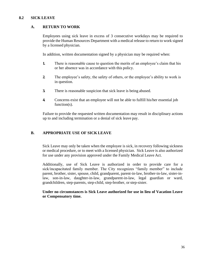#### <span id="page-35-0"></span>**8.2 SICK LEAVE**

#### **A. RETURN TO WORK**

Employees using sick leave in excess of 3 consecutive workdays may be required to provide the Human Resources Department with a medical release to return to work signed by a licensed physician.

In addition, written documentation signed by a physician may be required when:

- **1.** There is reasonable cause to question the merits of an employee's claim that his or her absence was in accordance with this policy.
- **2.** The employee's safety, the safety of others, or the employee's ability to work is in question.
- **3.** There is reasonable suspicion that sick leave is being abused.
- **4.** Concerns exist that an employee will not be able to fulfill his/her essential job function(s).

Failure to provide the requested written documentation may result in disciplinary actions up to and including termination or a denial of sick leave pay.

#### **B. APPROPRIATE USE OF SICK LEAVE**

Sick Leave may only be taken when the employee is sick, in recovery following sickness or medical procedure, or to meet with a licensed physician. Sick Leave is also authorized for use under any provision approved under the Family Medical Leave Act.

Additionally, use of Sick Leave is authorized in order to provide care for a sick/incapacitated family member. The City recognizes "family member" to include parent, brother, sister, spouse, child, grandparent, parent-in-law, brother-in-law, sister-inlaw, son-in-law, daughter-in-law, grandparent-in-law, legal guardian or ward, grandchildren, step-parents, step-child, step-brother, orstep-sister.

**Under no circumstances is Sick Leave authorized for use in lieu of Vacation Leave or Compensatory time.**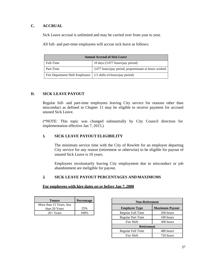# **C. ACCRUAL**

Sick Leave accrual is unlimited and may be carried over from year to year.

All full- and part-time employees will accrue sick leave as follows:

| <b>Annual Accrual of Sick Leave</b>                               |                                                       |  |
|-------------------------------------------------------------------|-------------------------------------------------------|--|
| Full-Time                                                         | 10 days (3.077 hours/pay period)                      |  |
| Part-Time                                                         | 3.077 hours/pay period, proportionate to hours worked |  |
| Fire Department Shift Employees   2.5 shifts (4 hours/pay period) |                                                       |  |

# **D. SICK LEAVE PAYOUT**

Regular full- and part-time employees leaving City service for reasons other than misconduct as defined in Chapter 11 may be eligible to receive payment for accrued unused Sick Leave.

(\*NOTE: This topic was changed substantially by City Council direction for implementation effective Jan 7, 2015.)

#### **1. SICK LEAVE PAYOUT ELIGIBILITY**

The minimum service time with the City of Rowlett for an employee departing City service for any reason (retirement or otherwise) to be eligible for payout of unused Sick Leave is 10 years.

Employees involuntarily leaving City employment due to misconduct or job abandonment are ineligible for payout.

#### **2. SICK LEAVE PAYOUT PERCENTAGES AND MAXIMUMS**

#### **For employees with hire dates** *on or before* **Jan 7, 2000**

| <b>Tenure</b>            | Percentage |
|--------------------------|------------|
| More than 15 Years, less |            |
| than 20 Years            | 25%        |
| $20+Years$               | 100%       |

| <b>Non-Retirement</b>    |                       |  |  |
|--------------------------|-----------------------|--|--|
| <b>Employee Type</b>     | <b>Maximum Payout</b> |  |  |
| Regular Full Time        | 200 hours             |  |  |
| <b>Regular Part Time</b> | 100 hours             |  |  |
| Fire Shift               | 300 hours             |  |  |
| <b>Retirement</b>        |                       |  |  |
| Regular Full Time        | 480 hours             |  |  |
| Fire Shift               | 720 hours             |  |  |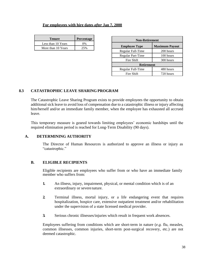#### **For employees with hire dates** *after* **Jan 7, 2000**

| <b>Tenure</b>      | Percentage |
|--------------------|------------|
| Less than 10 Years | $0\%$      |
| More than 10 Years | 25%        |

| <b>Non-Retirement</b> |                       |  |  |
|-----------------------|-----------------------|--|--|
| <b>Employee Type</b>  | <b>Maximum Payout</b> |  |  |
| Regular Full-Time     | 200 hours             |  |  |
| Regular Part-Time     | 100 hours             |  |  |
| Fire Shift            | 300 hours             |  |  |
| <b>Retirement</b>     |                       |  |  |
| Regular Full-Time     | 480 hours             |  |  |
| Fire Shift            | 720 hours             |  |  |

# **8.3 CATASTROPHIC LEAVE SHARING PROGRAM**

The Catastrophic Leave Sharing Program exists to provide employees the opportunity to obtain additional sick leave to avoid loss of compensation due to a catastrophic illness or injury affecting him/herself and/or an immediate family member, when the employee has exhausted all accrued leave.

This temporary measure is geared towards limiting employees' economic hardships until the required elimination period is reached for Long-Term Disability (90 days).

#### **A. DETERMINING AUTHORITY**

The Director of Human Resources is authorized to approve an illness or injury as "catastrophic."

#### **B. ELIGIBLE RECIPIENTS**

Eligible recipients are employees who suffer from or who have an immediate family member who suffers from:

- **1.** An illness, injury, impairment, physical, or mental condition which is of an extraordinary or severenature.
- **2.** Terminal illness, mortal injury, or a life endangering event that requires hospitalization, hospice care, extensive outpatient treatment and/or rehabilitation under the supervision of a state licensed medical provider.
- **3.** Serious chronic illnesses/injuries which result in frequent work absences.

Employees suffering from conditions which are short-term in nature (*e.g.* flu, measles, common illnesses, common injuries, short-term post-surgical recovery, etc.) are not deemed catastrophic.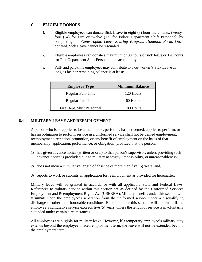# **C. ELIGIBLE DONORS**

- **1.** Eligible employees can donate Sick Leave in eight (8) hour increments, twentyfour (24) for Fire or twelve (12) for Police Department Shift Personnel, by completing the *Catastrophic Leave Sharing Program Donation Form*. Once donated, Sick Leave cannot be rescinded.
- **2.** Eligible employees can donate a maximum of 80 hours of sick leave or 120 hours for Fire Department Shift Personnel to each employee.
- **3.** Full- and part-time employees may contribute to a co-worker's Sick Leave as long as his/her remaining balance is at least:

| <b>Employee Type</b>       | <b>Minimum Balance</b> |  |
|----------------------------|------------------------|--|
| Regular Full-Time          | 120 Hours              |  |
| <b>Regular Part-Time</b>   | 60 Hours               |  |
| Fire Dept. Shift Personnel | 180 Hours              |  |

#### **8.4 MILITARY LEAVE AND REEMPLOYMENT**

A person who is or applies to be a member of, performs, has performed, applies to perform, or has an obligation to perform service in a uniformed service shall not be denied employment, reemployment, retention, promotion, or any benefit of employment on the basis of that membership, application, performance, or obligation; provided that the person:

- 1) has given advance notice (written or oral) to that person's supervisor, unless providing such advance notice is precluded due to military necessity, impossibility, or unreasonableness;
- 2) does not incur a cumulative length of absence of more than five (5) years; and,
- 3) reports to work or submits an application for reemployment as provided for hereinafter.

Military leave will be granted in accordance with all applicable State and Federal Laws. References to military service within this section are as defined by the Uniformed Services Employment and Reemployment Rights Act (USERRA). Military benefits under this section will terminate upon the employee's separation from the uniformed service under a disqualifying discharge or other than honorable conditions. Benefits under this section will terminate if the employee's cumulative service exceeds five (5) years, unless the length of service is involuntarily extended under certain circumstances.

All employees are eligible for military leave. However, if a temporary employee's military duty extends beyond the employee's fixed employment term, the leave will not be extended beyond the employment term.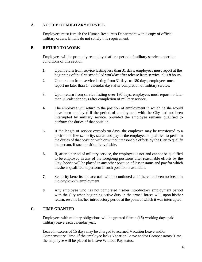#### **A. NOTICE OF MILITARY SERVICE**

Employees must furnish the Human Resources Department with a copy of official military orders. Emails do not satisfy this requirement.

#### **B. RETURN TO WORK**

Employees will be promptly reemployed after a period of military service under the conditions of this section.

- **1.** Upon return from service lasting less than 31 days, employees must report at the beginning of the first scheduled workday after release from service, plus 8 hours.
- **2.** Upon return from service lasting from 31 days to 180 days, employees must report no later than 14 calendar days after completion of military service.
- **3.** Upon return from service lasting over 180 days, employees must report no later than 30 calendar days after completion of military service.
- **4.** The employee will return to the position of employment in which he/she would have been employed if the period of employment with the City had not been interrupted by military service, provided the employee remains qualified to perform the duties of that position.
- **5.** If the length of service exceeds 90 days, the employee may be transferred to a position of like seniority, status and pay if the employee is qualified to perform the duties of that position with or without reasonable efforts by the City to qualify the person, if such position is available.
- **6.** If, after a period of military service, the employee is not and cannot be qualified to be employed in any of the foregoing positions after reasonable efforts by the City, he/she will be placed in any other position of lesser status and pay for which he/she is qualified to perform if such position is available.
- **7.** Seniority benefits and accruals will be continued as if there had been no break in the employee's employment.
- **8.** Any employee who has not completed his/her introductory employment period with the City when beginning active duty in the armed forces will, upon his/her return, resume his/her introductory period at the point at which it was interrupted.

#### **C. TIME GRANTED**

Employees with military obligations will be granted fifteen (15) working days paid military leave each calendar year.

Leave in excess of 15 days may be charged to accrued Vacation Leave and/or Compensatory Time. If the employee lacks Vacation Leave and/or Compensatory Time, the employee will be placed in Leave Without Pay status.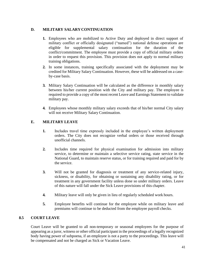# **D. MILITARY SALARY CONTINUATION**

- **1.** Employees who are mobilized to Active Duty and deployed in direct support of military conflict or officially designated ("named") national defense operations are eligible for supplemental salary continuation for the duration of the conflict/commitment. The employee must provide a copy of official military orders in order to request this provision. This provision does not apply to normal military training obligations.
- **2.** In some instances, training specifically associated with the deployment may be credited for Military Salary Continuation. However, these will be addressed on a caseby-case basis.
- **3.** Military Salary Continuation will be calculated as the difference in monthly salary between his/her current position with the City and military pay. The employee is required to provide a copy of the most recent Leave and Earnings Statement to validate military pay.
- **4.** Employees whose monthly military salary exceeds that of his/her normal City salary will not receive Military Salary Continuation.

# **E. MILITARY LEAVE**

- **1.** Includes travel time expressly included in the employee's written deployment orders. The City does not recognize verbal orders or those received through unofficial channels.
- **2.** Includes time required for physical examination for admission into military service, to determine or maintain a selective service rating, state service in the National Guard, to maintain reserve status, or for training required and paid for by the service.
- **3.** Will not be granted for diagnosis or treatment of any service-related injury, sickness, or disability, for obtaining or sustaining any disability rating, or for treatment in any government facility unless done so under military orders. Leave of this nature will fall under the Sick Leave provisions of this chapter.
- **4.** Military leave will only be given in lieu of regularly scheduled work hours.
- **5.** Employee benefits will continue for the employee while on military leave and premiums will continue to be deducted from the employee payroll checks.

# **8.5 COURT LEAVE**

Court Leave will be granted to all non-temporary or seasonal employees for the purpose of appearing as a juror, witness or other official participant in the proceedings of a legally recognized body having power of subpoena, if an employee is not a party to the proceedings. This leave will be compensated and not be charged as Sick or Vacation Leave.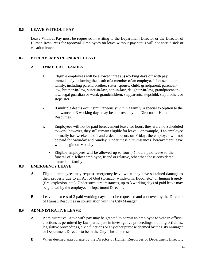# **8.6 LEAVE WITHOUT PAY**

Leave Without Pay must be requested in writing to the Department Director or the Director of Human Resources for approval. Employees on leave without pay status will not accrue sick or vacation leave.

# **8.7 BEREAVEMENT/FUNERAL LEAVE**

# **A. IMMEDIATE FAMILY**

- **1.** Eligible employees will be allowed three (3) working days off with pay immediately following the death of a member of an employee's household or family, including parent, brother, sister, spouse, child, grandparent, parent-inlaw, brother-in-law, sister-in-law, son-in-law, daughter-in-law, grandparent-inlaw, legal guardian or ward, grandchildren, stepparents, stepchild, stepbrother, or stepsister.
- **2.** If multiple deaths occur simultaneously within a family, a special exception to the allowance of 3 working days may be approved by the Director of Human Resources.
- **3.** Employees will not be paid bereavement leave for hours they were notscheduled to work; however, they still remain eligible for leave. For example, if an employee normally has weekends off and a death occurs on Friday, the employee will not be paid for Saturday and Sunday. Under these circumstances, bereavement leave would begin on Monday.
	- Eligible employees will be allowed up to four (4) hours paid leave to the funeral of a fellow employee, friend or relative, other than those considered immediate family.

# **8.8 EMERGENCY LEAVE**

- **A.** Eligible employees may request emergency leave when they have sustained damage to their property due to an Act of God (tornado, windstorm, flood, etc.) or human tragedy (fire, explosion, etc.). Under such circumstances, up to 3 working days of paid leave may be granted by the employee's Department Director.
- **B.** Leave in excess of 3 paid working days must be requested and approved by the Director of Human Resources in consultation with the City Manager

# **8.9 ADMINISTRATIVE LEAVE**

- **A.** Administrative Leave with pay may be granted to permit an employee to vote in official elections as permitted by law, participate in investigative proceedings, training activities, legislative proceedings, civic functions or any other purpose deemed by the City Manager or Department Director to be in the City's best interests.
- **B.** When deemed appropriate by the Director of Human Resources or Department Director,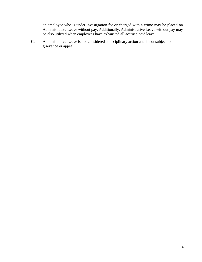an employee who is under investigation for or charged with a crime may be placed on Administrative Leave without pay. Additionally, Administrative Leave without pay may be also utilized when employees have exhausted all accrued paid leave.

**C.** Administrative Leave is not considered a disciplinary action and is not subject to grievance or appeal.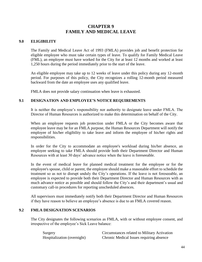# **CHAPTER 9 FAMILY AND MEDICAL LEAVE**

#### **9.0 ELIGIBILITY**

The Family and Medical Leave Act of 1993 (FMLA) provides job and benefit protection for eligible employee who must take certain types of leave. To qualify for Family Medical Leave (FML), an employee must have worked for the City for at least 12 months and worked at least 1,250 hours during the period immediately prior to the start of the leave.

An eligible employee may take up to 12 weeks of leave under this policy during any 12-month period. For purposes of this policy, the City recognizes a rolling 12-month period measured backward from the date an employee uses any qualified leave.

FMLA does not provide salary continuation when leave is exhausted.

#### **9.1 DESIGNATION AND EMPLOYEE'S NOTICE REQUIREMENTS**

It is neither the employee's responsibility nor authority to designate leave under FMLA. The Director of Human Resources is authorized to make this determination on behalf of the City.

When an employee requests job protection under FMLA or the City becomes aware that employee leave may be for an FMLA purpose, the Human Resources Department will notify the employee of his/her eligibility to take leave and inform the employee of his/her rights and responsibilities.

In order for the City to accommodate an employee's workload during his/her absence, an employee seeking to take FMLA should provide both their Department Director and Human Resources with at least 30 days' advance notice when the leave is foreseeable.

In the event of medical leave for planned medical treatment for the employee or for the employee's spouse, child or parent, the employee should make a reasonable effort to schedule the treatment so as not to disrupt unduly the City's operations. If the leave is not foreseeable, an employee is expected to provide both their Department Director and Human Resources with as much advance notice as possible and should follow the City's and their department's usual and customary call-in procedures for reporting unscheduled absences.

All supervisors must immediately notify both their Department Director and Human Resources if they have reason to believe an employee's absence is due to an FMLA covered reason.

#### **9.2 FMLA DESIGNATION SCENARIOS**

The City designates the following scenarios as FMLA, with or without employee consent, and irrespective of the employee's Sick Leave balance:

Surgery Circumstances related to Military Activation Hospitalization (overnight) Chronic Medical Issues requiring absence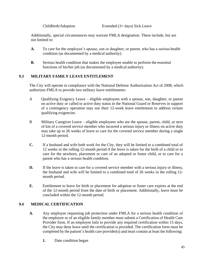Additionally, special circumstances may warrant FMLA designation. These include, but are not limited to:

- **A.** To care for the employee's spouse, son or daughter, or parent, who has a serious health condition (as documented by a medical authority).
- **B.** Serious health condition that makes the employee unable to perform the essential functions of his/her job (as documented by a medical authority).

# **9.3 MILITARY FAMILY LEAVE ENTITLEMENT**

The City will operate in compliance with the National Defense Authorization Act of 2008, which authorizes FMLA to provide two military leave entitlements:

- A Qualifying Exigency Leave eligible employees with a spouse, son, daughter, or parent on active duty or called to active duty status in the National Guard or Reserves in support of a contingency operation may use their 12-week leave entitlement to address certain qualifying exigencies.
- B Military Caregiver Leave eligible employees who are the spouse, parent, child, or next of kin of a covered service member who incurred a serious injury or illness on active duty may take up to 26 weeks of leave to care for the covered service member during a single 12-month period.
- **C.** If a husband and wife both work for the City, they will be limited to a combined total of 12 weeks in the rolling 12-month period if the leave is taken for the birth of a child or to care for the newborn, placement or care of an adopted or foster child, or to care for a parent who has a serious health condition.
- **D.** If the leave is taken to care for a covered service member with a serious injury or illness, the husband and wife will be limited to a combined total of 26 weeks in the rolling 12 month period.
- **E.** Entitlement to leave for birth or placement for adoption or foster care expires at the end of the 12-month period from the date of birth or placement. Additionally, leave must be concluded within the 12-month period.

# **9.4 MEDICAL CERTIFICATION**

- **A.** Any employee requesting job protection under FMLA for a serious health condition of the employee or of an eligible family member must submit a Certification of Health Care Provider form. If an employee fails to provide any required certification within 15 days, the City may deny leave until the certification is provided. The certification form must be completed by the patient's health care provider(s) and must contain at least the following:
	- **1.** Date condition began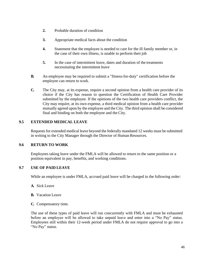- **2.** Probable duration of condition
- **3.** Appropriate medical facts about the condition
- **4.** Statement that the employee is needed to care for the ill family member or, in the case of their own illness, is unable to perform their job
- **5.** In the case of intermittent leave, dates and duration of the treatments necessitating the intermittent leave
- **B.** An employee may be required to submit a "fitness-for-duty" certification before the employee can return to work.
- **C.** The City may, at its expense, require a second opinion from a health care provider of its choice if the City has reason to question the Certification of Health Care Provider submitted by the employee. If the opinions of the two health care providers conflict, the City may require, at its own expense, a third medical opinion from a health care provider mutually agreed upon by the employee and the City. The third opinion shall be considered final and binding on both the employee and the City.

# **9.5 EXTENDED MEDICAL LEAVE**

Requests for extended medical leave beyond the federally mandated 12 weeks must be submitted in writing to the City Manager through the Director of Human Resources.

#### **9.6 RETURN TO WORK**

Employees taking leave under the FMLA will be allowed to return to the same position or a position equivalent in pay, benefits, and working conditions.

# **9.7 USE OF PAID LEAVE**

While an employee is under FMLA, accrued paid leave will be charged in the following order:

- **A.** Sick Leave
- **B.** Vacation Leave
- **C.** Compensatory time.

The use of these types of paid leave will run concurrently with FMLA and must be exhausted before an employee will be allowed to take unpaid leave and enter into a "No Pay" status. Employees still within their 12-week period under FMLA do not require approval to go into a "No Pay" status.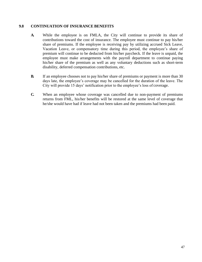# **9.8 CONTINUATION OF INSURANCE BENEFITS**

- **A.** While the employee is on FMLA, the City will continue to provide its share of contributions toward the cost of insurance. The employee must continue to pay his/her share of premiums. If the employee is receiving pay by utilizing accrued Sick Leave, Vacation Leave, or compensatory time during this period, the employee's share of premium will continue to be deducted from his/her paycheck. If the leave is unpaid, the employee must make arrangements with the payroll department to continue paying his/her share of the premium as well as any voluntary deductions such as short-term disability, deferred compensation contributions, etc.
- **B.** If an employee chooses not to pay his/her share of premiums or payment is more than 30 days late, the employee's coverage may be cancelled for the duration of the leave. The City will provide 15 days' notification prior to the employee's loss of coverage.
- **C.** When an employee whose coverage was cancelled due to non-payment of premiums returns from FML, his/her benefits will be restored at the same level of coverage that he/she would have had if leave had not been taken and the premiums had been paid.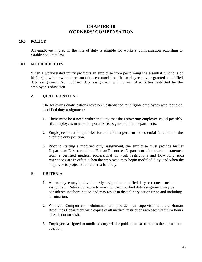# **CHAPTER 10 WORKERS' COMPENSATION**

#### **10.0 POLICY**

An employee injured in the line of duty is eligible for workers' compensation according to established State law.

#### **10.1 MODIFIED DUTY**

When a work-related injury prohibits an employee from performing the essential functions of his/her job with or without reasonable accommodation, the employee may be granted a modified duty assignment. No modified duty assignment will consist of activities restricted by the employee's physician.

#### **A. QUALIFICATIONS**

The following qualifications have been established for eligible employees who request a modified duty assignment:

- **1.** There must be a need within the City that the recovering employee could possibly fill. Employees may be temporarily reassigned to other departments.
- **2.** Employees must be qualified for and able to perform the essential functions of the alternate duty position.
- **3.** Prior to starting a modified duty assignment, the employee must provide his/her Department Director and the Human Resources Department with a written statement from a certified medical professional of work restrictions and how long such restrictions are in effect, when the employee may begin modified duty, and when the employee is projected to return to full duty.

#### **B. CRITERIA**

- **1.** An employee may be involuntarily assigned to modified duty or request such an assignment. Refusal to return to work for the modified duty assignment may be considered insubordination and may result in disciplinary action up to and including termination.
- **2.** Workers' Compensation claimants will provide their supervisor and the Human Resources Department with copies of all medical restrictions/releases within 24 hours of each doctor visit.
- **3.** Employees assigned to modified duty will be paid at the same rate as the permanent position.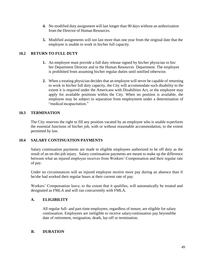- **4.** No modified duty assignment will last longer than 90 days without an authorization from the Director of Human Resources.
- **5.** Modified assignments will not last more than one year from the original date that the employee is unable to work in his/her full capacity.

# **10.2 RETURN TO FULL DUTY**

- **1.** An employee must provide a full duty release signed by his/her physician to his/ her Department Director and to the Human Resources Department. The employee is prohibited from assuming his/her regular duties until notified otherwise.
- **2.** When a treating physician decides that an employee will never be capable of returning to work in his/her full duty capacity, the City will accommodate such disability to the extent it is required under the Americans with Disabilities Act, or the employee may apply for available positions within the City. When no position is available, the employee may be subject to separation from employment under a determination of "medical incapacitation."

#### **10.3 TERMINATION**

The City reserves the right to fill any position vacated by an employee who is unable toperform the essential functions of his/her job, with or without reasonable accommodation, to the extent permitted by law.

#### **10.4 SALARY CONTINUATION PAYMENTS**

Salary continuation payments are made to eligible employees authorized to be off duty as the result of an on-the-job injury. Salary continuation payments are meant to make up the difference between what an injured employee receives from Workers' Compensation and their regular rate of pay.

Under no circumstances will an injured employee receive more pay during an absence than if he/she had worked their regular hours at their current rate of pay.

Workers' Compensation leave, to the extent that it qualifies, will automatically be treated and designated as FMLA and will run concurrently with FMLA.

#### **A. ELIGIBILITY**

All regular full- and part-time employees, regardless of tenure, are eligible for salary continuation. Employees are ineligible to receive salarycontinuation pay beyondthe date of retirement, resignation, death, lay-off or termination.

#### **B. DURATION**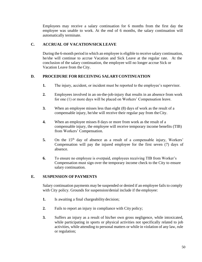Employees may receive a salary continuation for 6 months from the first day the employee was unable to work. At the end of 6 months, the salary continuation will automatically terminate.

# **C. ACCRUAL OF VACATION/SICKLEAVE**

During the 6-month period in which an employee is eligible to receive salary continuation, he/she will continue to accrue Vacation and Sick Leave at the regular rate. At the conclusion of the salary continuation, the employee will no longer accrue Sick or Vacation Leave from the City.

# **D. PROCEDURE FOR RECEIVING SALARYCONTINUATION**

- **1.** The injury, accident, or incident must be reported to the employee's supervisor.
- **2.** Employees involved in an on-the-job-injury that results in an absence from work for one (1) or more days will be placed on Workers' Compensation leave.
- **3.** When an employee misses less than eight (8) days of work as the result of a compensable injury, he/she will receive their regular pay from theCity.
- **4.** When an employee misses 8 days or more from work as the result of a compensable injury, the employee will receive temporary income benefits (TIB) from Workers' Compensation.
- 5. On the 15<sup>th</sup> day of absence as a result of a compensable injury, Workers' Compensation will pay the injured employee for the first seven (7) days of absence.
- **6.** To ensure no employee is overpaid, employees receiving TIB from Worker's Compensation must sign over the temporary income check to the City to ensure salary continuation.

#### **E. SUSPENSION OF PAYMENTS**

Salary continuation payments may be suspended or denied if an employee fails to comply with City policy. Grounds for suspension/denial include if the employee:

- **1.** Is awaiting a final chargeability decision;
- **2.** Fails to report an injury in compliance with City policy;
- **3.** Suffers an injury as a result of his/her own gross negligence, while intoxicated, while participating in sports or physical activities not specifically related to job activities, while attending to personal matters or while in violation of any law, rule or regulation;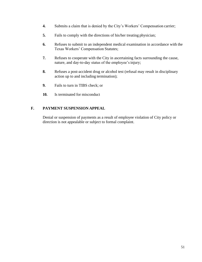- **4.** Submits a claim that is denied by the City's Workers' Compensation carrier;
- **5.** Fails to comply with the directions of his/her treating physician;
- **6.** Refuses to submit to an independent medical examination in accordance with the Texas Workers' Compensation Statutes;
- **7.** Refuses to cooperate with the City in ascertaining facts surrounding the cause, nature, and day-to-day status of the employee's injury;
- **8.** Refuses a post-accident drug or alcohol test (refusal may result in disciplinary action up to and including termination);
- **9.** Fails to turn in TIBS check; or
- **10.** Is terminated for misconduct

# **F. PAYMENT SUSPENSION APPEAL**

Denial or suspension of payments as a result of employee violation of City policy or direction is not appealable or subject to formal complaint.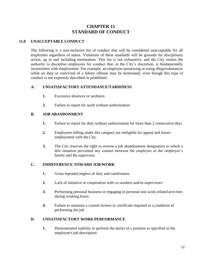# **CHAPTER 11 STANDARD OF CONDUCT**

# **11.0 UNACCEPTABLE CONDUCT**

The following is a non-inclusive list of conduct that will be considered unacceptable for all employees regardless of status. Violations of these standards will be grounds for disciplinary action, up to and including termination. This list is not exhaustive, and the City retains the authority to discipline employees for conduct that, in the City's discretion, is fundamentally inconsistent with employment. For example, an employee possessing or using illegalsubstances while on duty or convicted of a felony offense may be terminated, even though this type of conduct is not expressly described or prohibited.

#### **A. UNSATISFACTORY ATTENDANCE/TARDINESS**

- **1.** Excessive absences or tardiness
- **2.** Failure to report for work without authorization

# **B. JOB ABANDONMENT**

- **1.** Failure to report for duty without authorization for more than 2 consecutive days
- **2.** Employees falling under this category are ineligible for appeal and future employment with the City.
- **3.** The City reserves the right to reverse a job abandonment designation in which a dire situation prevented any contact between the employee or the employee's family and the supervisor.

# **C. INDIFFERENCE TOWARD JOB/WORK**

- **1.** Gross repeated neglect of duty and carelessness
- **2.** Lack of initiative or cooperation with co-workers and/orsupervisors
- **3.** Performing personal business or engaging in personal non work-related activities during working hours
- **4.** Failure to maintain a current license or certificate required as a condition of performing the job

# **D. UNSATISFACTORY WORK PERFORMANCE**

**1.** Demonstrated inability to perform the duties of a position as specified in the employee's job description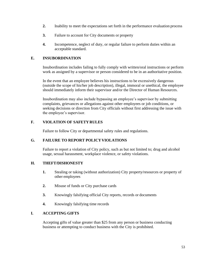- **2.** Inability to meet the expectations set forth in the performance evaluation process
- **3.** Failure to account for City documents or property
- **4.** Incompetence, neglect of duty, or regular failure to perform duties within an acceptable standard.

# **E. INSUBORDINATION**

Insubordination includes failing to fully comply with written/oral instructions or perform work as assigned by a supervisor or person considered to be in an authoritative position.

In the event that an employee believes his instructions to be excessively dangerous (outside the scope of his/her job description), illegal, immoral or unethical, the employee should immediately inform their supervisor and/or the Director of Human Resources.

Insubordination may also include bypassing an employee's supervisor by submitting complaints, grievances or allegations against other employees or job conditions, or seeking decisions or direction from City officials without first addressing the issue with the employee's supervisor.

# **F. VIOLATION OF SAFETY RULES**

Failure to follow City or departmental safety rules and regulations.

#### **G. FAILURE TO REPORT POLICYVIOLATIONS**

Failure to report a violation of City policy, such as but not limited to; drug and alcohol usage, sexual harassment, workplace violence, or safety violations.

#### **H. THEFT/DISHONESTY**

- **1.** Stealing or taking (without authorization) City property/resources or property of other employees
- **2.** Misuse of funds or City purchase cards
- **3.** Knowingly falsifying official City reports, records or documents
- **4.** Knowingly falsifying time records

# **I. ACCEPTING GIFTS**

Accepting gifts of value greater than \$25 from any person or business conducting business or attempting to conduct business with the City is prohibited.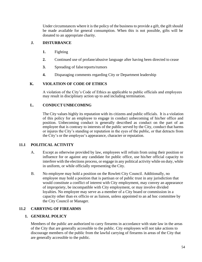Under circumstances where it is the policy of the business to provide a gift, the gift should be made available for general consumption. When this is not possible, gifts will be donated to an appropriate charity.

# **J. DISTURBANCE**

- **1.** Fighting
- **2.** Continued use of profane/abusive language after having been directed to cease
- **3.** Spreading of false reports/rumors
- **4.** Disparaging comments regarding City or Department leadership

# **K. VIOLATION OF CODE OF ETHICS**

A violation of the City's Code of Ethics as applicable to public officials and employees may result in disciplinary action up to and including termination.

# **L. CONDUCT UNBECOMING**

The City values highly its reputation with its citizens and public officials. It is a violation of this policy for an employee to engage in conduct unbecoming of his/her office and position. Unbecoming conduct is generally described as conduct on the part of an employee that is contrary to interests of the public served by the City, conduct that harms or injures the City's standing or reputation in the eyes of the public, or that detracts from the City's or the employee's appearance, character or reputation.

# **11.1 POLITICAL ACTIVITY**

- A. Except as otherwise provided by law, employees will refrain from using their position or influence for or against any candidate for public office, use his/her official capacity to interfere with the elections process, or engage in any political activity while on duty, while in uniform, or while officially representing the City.
- B. No employee may hold a position on the Rowlett City Council. Additionally, no employee may hold a position that is partisan or of public trust in any jurisdiction that would constitute a conflict of interest with City employment, may convey an appearance of impropriety, be incompatible with City employment, or may involve divided loyalties. No employee may serve as a member of a City board or commission in a capacity other than ex officio or as liaison, unless appointed to an ad hoc committee by the City Council or Manager.

# **11.2 CARRYING OF FIREARMS**

#### **1. GENERAL POLICY**

Members of the public are authorized to carry firearms in accordance with state law in the areas of the City that are generally accessible to the public. City employees will not take actions to discourage members of the public from the lawful carrying of firearms in areas of the City that are generally accessible to the public.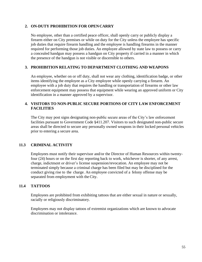#### **2. ON-DUTY PROHIBITION FOR OPEN CARRY**

No employee, other than a certified peace officer, shall openly carry or publicly display a firearm either on City premises or while on duty for the City unless the employee has specific job duties that require firearm handling and the employee is handling firearms in the manner required for performing those job duties. An employee allowed by state law to possess or carry a concealed handgun may possess a handgun on City property if carried in a manner in which the presence of the handgun is not visible or discernible to others.

#### **3. PROHIBITION RELATING TO DEPARTMENT CLOTHING AND WEAPONS**

An employee, whether on or off duty, shall not wear any clothing, identification badge, or other items identifying the employee as a City employee while openly carrying a firearm. An employee with a job duty that requires the handling or transportation of firearms or other law enforcement equipment may possess that equipment while wearing an approved uniform or City identification in a manner approved by a supervisor.

# **4. VISITORS TO NON-PUBLIC SECURE PORTIONS OF CITY LAW ENFORCEMENT FACILITIES**

The City may post signs designating non-public secure areas of the City's law enforcement facilities pursuant to Government Code §411.207. Visitors to such designated non-public secure areas shall be directed to secure any personally owned weapons in their locked personal vehicles prior to entering a secure area.

#### **11.3 CRIMINAL ACTIVITY**

Employees must notify their supervisor and/or the Director of Human Resources within twentyfour (24) hours or on the first day reporting back to work, whichever is shorter, of any arrest, charge, indictment or driver's license suspension/revocation. An employee may not be terminated simply because a criminal charge has been filed but may be disciplined for the conduct giving rise to the charge. An employee convicted of a felony offense may be separated from employment with the City.

# **11.4 TATTOOS**

Employees are prohibited from exhibiting tattoos that are either sexual in nature or sexually, racially or religiously discriminatory.

Employees may not display tattoos of extremist organizations which are known to advocate discrimination or intolerance.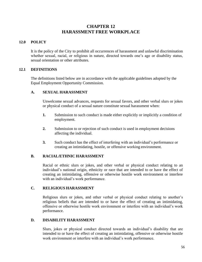# **CHAPTER 12 HARASSMENT FREE WORKPLACE**

# **12.0 POLICY**

It is the policy of the City to prohibit all occurrences of harassment and unlawful discrimination whether sexual, racial, or religious in nature, directed towards one's age or disability status, sexual orientation or other attributes.

#### **12.1 DEFINITIONS**

The definitions listed below are in accordance with the applicable guidelines adopted by the Equal Employment Opportunity Commission.

#### **A. SEXUAL HARASSMENT**

Unwelcome sexual advances, requests for sexual favors, and other verbal slurs or jokes or physical conduct of a sexual nature constitute sexual harassment when:

- **1.** Submission to such conduct is made either explicitly or implicitly a condition of employment.
- **2.** Submission to or rejection of such conduct is used in employment decisions affecting the individual.
- **3.** Such conduct has the effect of interfering with an individual's performance or creating an intimidating, hostile, or offensive working environment.

#### **B. RACIAL/ETHNIC HARASSMENT**

Racial or ethnic slurs or jokes, and other verbal or physical conduct relating to an individual's national origin, ethnicity or race that are intended to or have the effect of creating an intimidating, offensive or otherwise hostile work environment or interfere with an individual's work performance.

# **C. RELIGIOUS HARASSMENT**

Religious slurs or jokes, and other verbal or physical conduct relating to another's religious beliefs that are intended to or have the effect of creating an intimidating, offensive or otherwise hostile work environment or interfere with an individual's work performance.

#### **D. DISABILITY HARASSMENT**

Slurs, jokes or physical conduct directed towards an individual's disability that are intended to or have the effect of creating an intimidating, offensive or otherwise hostile work environment or interfere with an individual's work performance.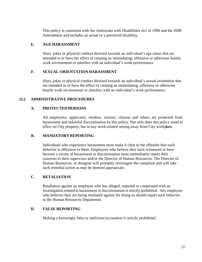This policy is consistent with the Americans with Disabilities Act of 1990 and the 2008 Amendment and includes an actual or a perceived disability.

# **E. AGE HARASSMENT**

Slurs, jokes or physical conduct directed towards an individual's age status that are intended to or have the effect of creating an intimidating, offensive or otherwise hostile work environment or interfere with an individual's work performance.

# **F. SEXUAL ORIENTATIONHARASSMENT**

Slurs, jokes or physical conduct directed towards an individual's sexual orientation that are intended to or have the effect of creating an intimidating, offensive or otherwise hostile work environment or interfere with an individual's work performance.

# **12.2 ADMINISTRATIVE PROCEDURES**

# **A. PROTECTED PERSONS**

All employees, applicants, vendors, visitors, citizens and others are protected from harassment and unlawful discrimination by this policy. Not only does this policy stand in effect on City property, but in any work-related setting away from City workplaces.

# **B. MANDATORY REPORTING**

Individuals who experience harassment must make it clear to the offender that such behavior is offensive to them. Employees who believe they have witnessed or have become a victim of harassment or discrimination must immediately report their concerns to their supervisor and/or the Director of Human Resources. The Director of Human Resources, or designee will promptly investigate the complaint and will take such remedial action as may be deemed appropriate.

# **C. RETALIATION**

Retaliation against an employee who has alleged, reported or cooperated with an investigation related to harassment or discrimination is strictly prohibited. Any employee who believes they are being retaliated against for doing so should report such behavior to the Human Resources Department.

# **D. FALSE REPORTING**

Making a knowingly false or malicious accusation is strictly prohibited.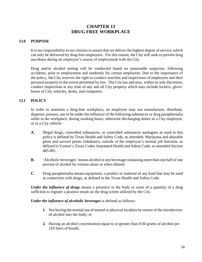# **CHAPTER 13 DRUG FREE WORKPLACE**

#### **13.0 PURPOSE**

It is our responsibility to our citizens to assure that we deliver the highest degree of service, which can only be delivered by drug-free employees. For this reason, the City will seek to prevent drug use/abuse during an employee's course of employment with theCity.

Drug and/or alcohol testing will be conducted based on reasonable suspicion, following accidents, prior to employment and randomly for certain employees. Due to the importance of the policy, the City reserves the right to conduct searches and inspections of employees and their personal property to the extent permitted by law. The City has and may, within itssole discretion, conduct inspections at any time of any and all City property which may include lockers, gloveboxes of City vehicles, desks, and computers.

#### **13.1 POLICY**

In order to maintain a drug-free workplace, an employee may not manufacture, distribute, dispense, possess, use or be under the influence of the following substances or drug paraphernalia while in the workplace, during working hours, otherwise discharging duties as a City employee, or in a City vehicle:

- **A.** Illegal drugs, controlled substances, or controlled substances analogues as used in this policy is defined by Texas Health and Safety Code, as amended. Marijuana and abusable glues and aerosol paints (inhalants), outside of the employee's normal job function, as defined in Vernon's Texas Codes Annotated Health and Safety Code, as amended Section 485.001.
- **B.** 'Alcoholic beverages' means alcohol or any beverage containing more than one half of one percent of alcohol by volume alone or when diluted.
- **C.** Drug paraphernalia means equipment, a product or material of any kind that may be used in connection with drugs, as defined in the Texas Health and Safety Code.

*Under the influence of drugs* means a presence in the body or urine of a quantity of a drug sufficient to register a positive result on the drug screen utilized by the City.

*Under the influence of alcoholic beverages* is defined as follows:

- **1.** Not having the normal use of mental or physical faculties by reason of the introduction of alcohol into the body; or
- **2.** Having an alcohol concentration equal to or greater than 0.04 grams of alcohol per 210 liters of breath.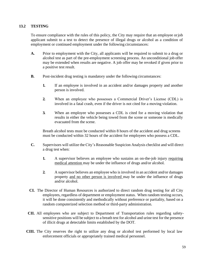#### **13.2 TESTING**

To ensure compliance with the rules of this policy, the City may require that an employee orjob applicant submit to a test to detect the presence of illegal drugs or alcohol as a condition of employment or continued employment under the following circumstances:

- **A.** Prior to employment with the City, all applicants will be required to submit to a drug or alcohol test as part of the pre-employment screening process. An unconditional job offer may be extended when results are negative. A job offer may be revoked if given prior to a positive test result.
- **B.** Post-incident drug testing is mandatory under the following circumstances:
	- **1.** If an employee is involved in an accident and/or damages property and another person is involved.
	- **2.** When an employee who possesses a Commercial Driver's License (CDL) is involved in a fatal crash, even if the driver is not cited for a moving violation.
	- **3.** When an employee who possesses a CDL is cited for a moving violation that results in either the vehicle being towed from the scene or someone is medically evacuated from the scene.

Breath alcohol tests must be conducted within 8 hours of the accident and drug screens must be conducted within 32 hours of the accident for employees who possess a CDL.

- **C.** Supervisors will utilize the City's Reasonable Suspicion Analysis checklist and will direct a drug test when:
	- **1.** A supervisor believes an employee who sustains an on-the-job injury requiring medical attention may be under the influence of drugs and/or alcohol.
	- **2.** A supervisor believes an employee who is involved in an accident and/or damages property and no other person is involved may be under the influence of drugs and/or alcohol.
- **CI.** The Director of Human Resources is authorized to direct random drug testing for all City employees, regardless of department or employment status. When random testing occurs, it will be done consistently and methodically without preference or partiality, based on a random computerized selection method or third-party administration.
- **CII.** All employees who are subject to Department of Transportation rules regarding safetysensitive positions will be subject to a breath test for alcohol and urine test for the presence of illicit drugs at detectable limits established by the DOT.
- **CIII.** The City reserves the right to utilize any drug or alcohol test performed by local law enforcement officials or appropriately trained medical personnel.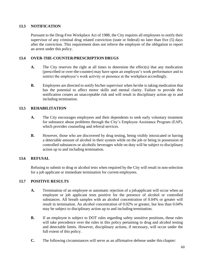# **13.3 NOTIFICATION**

Pursuant to the Drug-Free Workplace Act of 1988, the City requires all employees to notify their supervisor of any criminal drug related conviction (state or federal) no later than five (5) days after the conviction. This requirement does not relieve the employee of the obligation to report an arrest under this policy.

# **13.4 OVER-THE-COUNTER/PRESCRIPTION DRUGS**

- **A.** The City reserves the right at all times to determine the effect(s) that any medication (prescribed or over-the-counter) may have upon an employee's work performance and to restrict the employee's work activity or presence at the workplace accordingly.
- **B.** Employees are directed to notify his/her supervisor when he/she is taking medication that has the potential to affect motor skills and mental clarity. Failure to provide this notification creates an unacceptable risk and will result in disciplinary action up to and including termination.

# **13.5 REHABILITATION**

- **A.** The City encourages employees and their dependents to seek early voluntary treatment for substance abuse problems through the City's Employee Assistance Program (EAP), which provides counseling and referral services.
- **B.** However, those who are discovered by drug testing, being visibly intoxicated or having a detectable amount of alcohol in their system while on the job or being in possession of controlled substances or alcoholic beverages while on duty will be subject to disciplinary action up to and including termination.

# **13.6 REFUSAL**

Refusing to submit to drug or alcohol tests when required by the City will result in non-selection for a job applicant or immediate termination for current employees.

#### **13.7 POSITIVE RESULTS**

- **A.** Termination of an employee or automatic rejection of a jobapplicant will occur when an employee or job applicant tests positive for the presence of alcohol or controlled substances. All breath samples with an alcohol concentration of 0.04% or greater will result in termination. An alcohol concentration of 0.02% or greater, but less than 0.04% may be subject to disciplinary action up to and including termination.
- **B.** If an employee is subject to DOT rules regarding safety sensitive positions, those rules will take precedence over the rules in this policy pertaining to drug and alcohol testing and detectable limits. However, disciplinary actions, if necessary, will occur under the full extent of this policy.
- **C.** The following circumstances will serve as an affirmative defense under this chapter: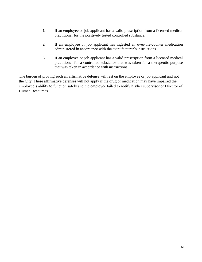- **1.** If an employee or job applicant has a valid prescription from a licensed medical practitioner for the positively tested controlled substance.
- **2.** If an employee or job applicant has ingested an over-the-counter medication administered in accordance with the manufacturer's instructions.
- **3.** If an employee or job applicant has a valid prescription from a licensed medical practitioner for a controlled substance that was taken for a therapeutic purpose that was taken in accordance with instructions.

The burden of proving such an affirmative defense will rest on the employee or job applicant and not the City. These affirmative defenses will not apply if the drug or medication may have impaired the employee's ability to function safely and the employee failed to notify his/her supervisor or Director of Human Resources.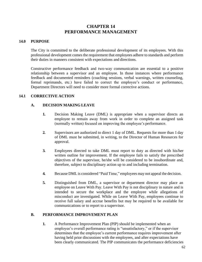# **CHAPTER 14 PERFORMANCE MANAGEMENT**

#### **14.0 PURPOSE**

The City is committed to the deliberate professional development of its employees. With this professional development comes the requirement that employees adhere to standards and perform their duties in manners consistent with expectations and directions.

Constructive performance feedback and two-way communication are essential to a positive relationship between a supervisor and an employee. In those instances where performance feedback and documented reminders (coaching sessions, verbal warnings, written counseling, formal reprimands, etc.) have failed to correct the employee's conduct or performance, Department Directors will need to consider more formal corrective actions.

#### **14.1 CORRECTIVE ACTION**

#### **A. DECISION MAKING LEAVE**

- **1.** Decision Making Leave (DML) is appropriate when a supervisor directs an employee to remain away from work in order to complete an assigned task (normally written) focused on improving the employee's performance.
- **2.** Supervisors are authorized to direct 1 day of DML. Requests for more than 1 day of DML must be submitted, in writing, to the Director of Human Resources for approval.
- **3.** Employees directed to take DML must report to duty as directed with his/her written outline for improvement. If the employee fails to satisfy the prescribed objectives of the supervisor, he/she will be considered to be insubordinate and, therefore, subject to disciplinary action up to and including termination.
- **4.** Because DML is considered "Paid Time," employees may not appeal the decision.
- **5.** Distinguished from DML, a supervisor or department director may place an employee on Leave With Pay. Leave With Pay is not disciplinary in nature and is intended to secure the workplace and the employee while allegations of misconduct are investigated. While on Leave With Pay, employees continue to receive full salary and accrue benefits but may be required to be available for communications or to report to a supervisor.

#### **B. PERFORMANCE IMPROVEMENT PLAN**

**1.** A Performance Improvement Plan (PIP) should be implemented when an employee's overall performance rating is "unsatisfactory," or if the supervisor determines that the employee's current performance requires improvement after having held prior discussions with the employees, and after expectations have been clearly communicated. The PIP communicates the performance deficiencies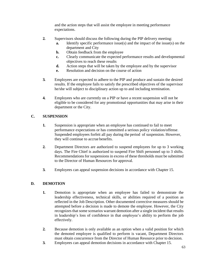and the action steps that will assist the employee in meeting performance expectations.

- **2.** Supervisors should discuss the following during the PIP delivery meeting:
	- **a.** Identify specific performance issue(s) and the impact of the issue(s) on the department and City
	- **b.** Obtain feedback from the employee
	- **c.** Clearly communicate the expected performance results and developmental objectives to reach these results
	- **d.** Action steps that will be taken by the employee and by the supervisor
	- **e.** Resolution and decision on the course of action
- **3.** Employees are expected to adhere to the PIP and produce and sustain the desired results. If the employee fails to satisfy the prescribed objectives of the supervisor he/she will subject to disciplinary action up to and including termination.
- **4.** Employees who are currently on a PIP or have a recent suspension will not be eligible to be considered for any promotional opportunities that may arise in their department or the City.

# **C. SUSPENSION**

- **1.** Suspension is appropriate when an employee has continued to fail to meet performance expectations or has committed a serious policy violation/offense. Suspended employees forfeit all pay during the period of suspension. However, they will continue to accrue benefits.
- **2.** Department Directors are authorized to suspend employees for up to 3 working days. The Fire Chief is authorized to suspend Fire Shift personnel up to 3 shifts. Recommendations for suspensions in excess of these thresholds must be submitted to the Director of Human Resources for approval.
- **3.** Employees can appeal suspension decisions in accordance with Chapter 15.

# **D. DEMOTION**

- **1.** Demotion is appropriate when an employee has failed to demonstrate the leadership effectiveness, technical skills, or abilities required of a position as reflected in the Job Description. Other documented corrective measures should be attempted before a decision is made to demote the employee. However, the City recognizes that some scenarios warrant demotion after a single incident that results in leadership's loss of confidence in that employee's ability to perform the job effectively.
- **2.** Because demotion is only available as an option when a valid position for which the demoted employee is qualified to perform is vacant, Department Directors must obtain concurrence from the Director of Human Resource prior to decision.
- **3.** Employees can appeal demotion decisions in accordance with Chapter 15.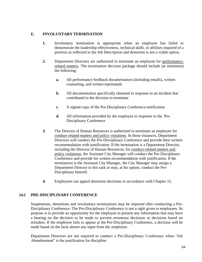#### **E. INVOLUNTARY TERMINATION**

- **1.** Involuntary termination is appropriate when an employee has failed to demonstrate the leadership effectiveness, technical skills, or abilities required of a position as reflected in the Job Description and demotion is not a viable option.
- **2.** Department Directors are authorized to terminate an employee for performancerelated matters. The termination decision package should include (at minimum) the following:
	- **a.** All performance feedback documentation (including emails), written counseling, and written reprimands
	- **b.** All documentation specifically obtained in response to an incident that contributed to the decision to terminate
	- **c.** A signed copy of the Pre-Disciplinary Conference notification
	- **d.** All information provided by the employee in response to the Pre-Disciplinary Conference
- **3.** The Director of Human Resources is authorized to terminate an employee for conduct-related matters and policy violations. In those instances, Department Directors will conduct the Pre-Disciplinary Conference and provide their written recommendation with justification. If the termination is a Department Director, including the Director of Human Resources, for conduct-related matters and policy violations, the Assistant City Manager will conduct the Pre-Disciplinary Conference and provide his written recommendation with justification. If the termination is the Assistant City Manager, the City Manager may assign a Department Director to this task or may, at his option, conduct the Pre-Disciplinary himself.
- **4.** Employees can appeal demotion decisions in accordance with Chapter 15.

#### **14.2 PRE-DISCIPLINARY CONFERENCE**

Suspensions, demotions and involuntary terminations may be imposed after conducting a Pre-Disciplinary Conference. The Pre-Disciplinary Conference is not a right given to employees. Its purpose is to provide an opportunity for the employee to present any information that may have a bearing on the decision to be made to prevent erroneous decisions or decisions based on mistakes. If the employee fails to appear at the Pre-Disciplinary Conference, a decision will be made based on the facts absent any input from the employee.

Department Directors are not required to conduct a Pre-Disciplinary Conference when "Job Abandonment" is the justification for discipline.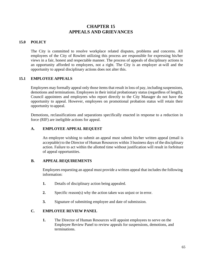# **CHAPTER 15 APPEALS AND GRIEVANCES**

# **15.0 POLICY**

The City is committed to resolve workplace related disputes, problems and concerns. All employees of the City of Rowlett utilizing this process are responsible for expressing his/her views in a fair, honest and respectable manner. The process of appeals of disciplinary actions is an opportunity afforded to employees, not a right. The City is an employer at-will and the opportunity to appeal disciplinary actions does not alter this.

#### **15.1 EMPLOYEE APPEALS**

Employees may formally appeal only those items that result in loss of pay, including suspensions, demotions and terminations. Employees in their initial probationary status (regardless of length), Council appointees and employees who report directly to the City Manager do not have the opportunity to appeal. However, employees on promotional probation status will retain their opportunity to appeal.

Demotions, reclassifications and separations specifically enacted in response to a reduction in force (RIF) are ineligible actions for appeal.

#### **A. EMPLOYEE APPEAL REQUEST**

An employee wishing to submit an appeal must submit his/her written appeal (email is acceptable) to the Director of Human Resources within 3 business days of the disciplinary action. Failure to act within the allotted time without justification will result in forfeiture of appeal opportunities.

#### **B. APPEAL REQUIREMENTS**

Employees requesting an appeal must provide a written appeal that includes the following information:

- **1.** Details of disciplinary action being appealed.
- **2.** Specific reason(s) why the action taken was unjust or in error.
- **3.** Signature of submitting employee and date of submission.

#### **C. EMPLOYEE REVIEW PANEL**

**1.** The Director of Human Resources will appoint employees to serve on the Employee Review Panel to review appeals for suspensions, demotions, and terminations.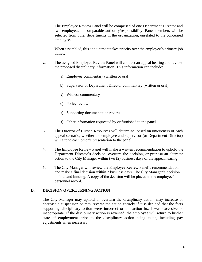The Employee Review Panel will be comprised of one Department Director and two employees of comparable authority/responsibility. Panel members will be selected from other departments in the organization, unrelated to the concerned employee.

When assembled, this appointment takes priority over the employee's primary job duties.

- **2.** The assigned Employee Review Panel will conduct an appeal hearing and review the proposed disciplinary information. This information can include:
	- **a)** Employee commentary (written or oral)
	- **b)** Supervisor or Department Director commentary (written or oral)
	- **c)** Witness commentary
	- **d)** Policy review
	- **e)** Supporting documentation review
	- **f)** Other information requested by or furnished to the panel
- **3.** The Director of Human Resources will determine, based on uniqueness of each appeal scenario, whether the employee and supervisor (or Department Director) will attend each other's presentation to the panel.
- **4.** The Employee Review Panel will make a written recommendation to uphold the Department Director's decision, overturn the decision, or propose an alternate action to the City Manager within two (2) business days of the appeal hearing.
- **5.** The City Manager will review the Employee Review Panel's recommendation and make a final decision within 2 business days. The City Manager's decision is final and binding. A copy of the decision will be placed in the employee's personnel record.

#### **D. DECISION OVERTURNING ACTION**

The City Manager may uphold or overturn the disciplinary action, may increase or decrease a suspension or may reverse the action entirely if it is decided that the facts supporting disciplinary action were incorrect or the action itself was excessive or inappropriate. If the disciplinary action is reversed, the employee will return to his/her state of employment prior to the disciplinary action being taken, including pay adjustments when necessary.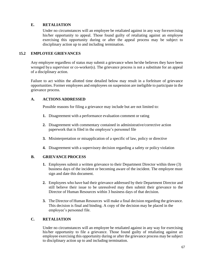# **E. RETALIATION**

Under no circumstances will an employee be retaliated against in any way forexercising his/her opportunity to appeal. Those found guilty of retaliating against an employee exercising this opportunity during or after the appeal process may be subject to disciplinary action up to and including termination.

#### **15.2 EMPLOYEE GRIEVANCES**

Any employee regardless of status may submit a grievance when he/she believes they have been wronged bya supervisor or co-worker(s). The grievance process is not a substitute for an appeal of a disciplinary action.

Failure to act within the allotted time detailed below may result in a forfeiture of grievance opportunities. Former employees and employees on suspension are ineligible to participate in the grievance process.

#### **A. ACTIONS ADDRESSED**

Possible reasons for filing a grievance may include but are not limited to:

- **1.** Disagreement with a performance evaluation comment or rating
- **2.** Disagreement with commentary contained in administrative/corrective action paperwork that is filed in the employee's personnel file
- **3.** Misinterpretation or misapplication of a specific of law, policy or directive
- **4.** Disagreement with a supervisory decision regarding a safety or policy violation

#### **B. GRIEVANCE PROCESS**

- **1.** Employees submit a written grievance to their Department Director within three (3) business days of the incident or becoming aware of the incident. The employee must sign and date this document.
- **2.** Employees who have had their grievance addressed by their Department Director and still believe their issue to be unresolved may then submit their grievance to the Director of Human Resources within 3 business days of that decision.
- **3.** The Director of Human Resources will make a final decision regarding the grievance. This decision is final and binding. A copy of the decision may be placed in the employee's personnel file.

#### **C. RETALIATION**

Under no circumstances will an employee be retaliated against in any way for exercising his/her opportunity to file a grievance. Those found guilty of retaliating against an employee exercising this opportunity during or after the grievance process may be subject to disciplinary action up to and including termination.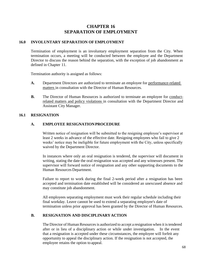# **CHAPTER 16 SEPARATION OF EMPLOYMENT**

#### **16.0 INVOLUNTARY SEPARATION OF EMPLOYMENT**

Termination of employment is an involuntary employment separation from the City. When termination occurs, a meeting will be conducted between the employee and the Department Director to discuss the reason behind the separation, with the exception of job abandonment as defined in Chapter 11.

Termination authority is assigned as follows:

- **A.** Department Directors are authorized to terminate an employee for performance-related matters in consultation with the Director of Human Resources.
- **B.** The Director of Human Resources is authorized to terminate an employee for conductrelated matters and policy violations in consultation with the Department Director and Assistant City Manager.

#### **16.1 RESIGNATION**

#### **A. EMPLOYEE RESIGNATIONPROCEDURE**

Written notice of resignation will be submitted to the resigning employee's supervisor at least 2 weeks in advance of the effective date. Resigning employees who fail to give 2 weeks' notice may be ineligible for future employment with the City, unless specifically waived by the Department Director.

In instances where only an oral resignation is tendered, the supervisor will document in writing, stating the date the oral resignation was accepted and any witnesses present. The supervisor will forward notice of resignation and any other supporting documents to the Human Resources Department.

Failure to report to work during the final 2-week period after a resignation has been accepted and termination date established will be considered an unexcused absence and may constitute job abandonment.

All employees separating employment must work their regular schedule including their final workday. Leave cannot be used to extend a separating employee's date of termination unless prior approval has been granted by the Director of Human Resources.

#### **B. RESIGNATION AND DISCIPLINARYACTION**

The Director of Human Resources is authorized to accept a resignation when it is tendered after or in lieu of a disciplinary action or while under investigation. In the event that a resignation is accepted under these circumstances, the employee will forfeit any opportunity to appeal the disciplinary action. If the resignation is not accepted, the employee retains the option to appeal.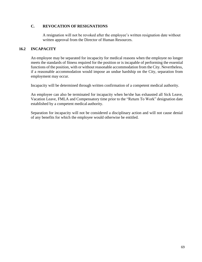# **C. REVOCATION OF RESIGNATIONS**

A resignation will not be revoked after the employee's written resignation date without written approval from the Director of Human Resources.

# **16.2 INCAPACITY**

An employee may be separated for incapacity for medical reasons when the employee no longer meets the standards of fitness required for the position or is incapable of performing the essential functions of the position, with or without reasonable accommodation from the City. Nevertheless, if a reasonable accommodation would impose an undue hardship on the City, separation from employment may occur.

Incapacity will be determined through written confirmation of a competent medical authority.

An employee can also be terminated for incapacity when he/she has exhausted all Sick Leave, Vacation Leave, FMLA and Compensatory time prior to the "Return To Work" designation date established by a competent medical authority.

Separation for incapacity will not be considered a disciplinary action and will not cause denial of any benefits for which the employee would otherwise be entitled.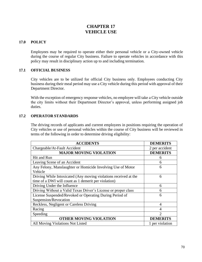# **CHAPTER 17 VEHICLE USE**

# **17.0 POLICY**

Employees may be required to operate either their personal vehicle or a City-owned vehicle during the course of regular City business. Failure to operate vehicles in accordance with this policy may result in disciplinary action up to and including termination.

#### **17.1 OFFICIAL BUSINESS**

City vehicles are to be utilized for official City business only. Employees conducting City business during their meal period may use a City vehicle during this period with approval of their Department Director.

With the exception of emergency response vehicles, no employee will take a City vehicle outside the city limits without their Department Director's approval, unless performing assigned job duties.

# **17.2 OPERATOR STANDARDS**

The driving records of applicants and current employees in positions requiring the operation of City vehicles or use of personal vehicles within the course of City business will be reviewed in terms of the following in order to determine driving eligibility:

| <b>ACCIDENTS</b>                                                 | <b>DEMERITS</b> |
|------------------------------------------------------------------|-----------------|
| Chargeable/At-Fault Accident                                     | 2 per accident  |
| <b>MAJOR MOVING VIOLATION</b>                                    | <b>DEMERITS</b> |
| Hit and Run                                                      | 6               |
| Leaving Scene of an Accident                                     | 6               |
| Any Felony, Manslaughter or Homicide Involving Use of Motor      | 6               |
| Vehicle                                                          |                 |
| Driving While Intoxicated (Any moving violations received at the | 6               |
| time of a DWI will count as 1 demerit per violation)             |                 |
| Driving Under the Influence                                      | 6               |
| Driving Without a Valid Texas Driver's License or proper class   | 6               |
| License Suspended/Revoked or Operating During Period of          | 6               |
| Suspension/Revocation                                            |                 |
| Reckless, Negligent or Careless Driving                          | 4               |
| Racing                                                           | 4               |
| Speeding                                                         | っ               |
| <b>OTHER MOVING VIOLATION</b>                                    | <b>DEMERITS</b> |
| All Moving Violations Not Listed                                 | 1 per violation |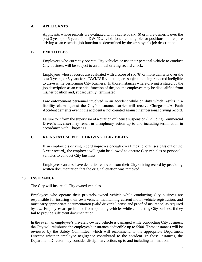# **A. APPLICANTS**

Applicants whose records are evaluated with a score of six (6) or more demerits over the past 3 years, or 5 years for a DWI/DUI violation, are ineligible for positions that require driving as an essential job function as determined by the employee's job description.

# **B. EMPLOYEES**

Employees who currently operate City vehicles or use their personal vehicle to conduct City business will be subject to an annual driving record check.

Employees whose records are evaluated with a score of six (6) or more demerits over the past 3 years, or 5 years for a DWI/DUI violation, are subject to being rendered ineligible to drive while performing City business. In those instances where driving is stated by the job description as an essential function of the job, the employee may be disqualified from his/her position and, subsequently, terminated.

Law enforcement personnel involved in an accident while on duty which results in a liability claim against the City's insurance carrier will receive Chargeable/At-Fault Accident demerits even if the accident is not counted against their personal driving record.

Failure to inform the supervisor of a citation or license suspension (including Commercial Driver's License) may result in disciplinary action up to and including termination in accordance with Chapter 11.

# **C. REINSTATEMENT OF DRIVING ELIGIBILITY**

If an employee's driving record improves enough over time (i.e. offenses pass out of the 3-year record), the employee will again be allowed to operate City vehicles or personal vehicles to conduct City business.

Employees can also have demerits removed from their City driving record by providing written documentation that the original citation was removed.

#### **17.3 INSURANCE**

The City will insure all City owned vehicles.

Employees who operate their privately-owned vehicle while conducting City business are responsible for insuring their own vehicle, maintaining current motor vehicle registration, and must carry appropriate documentation (valid driver's license and proof of insurance) as required by law. Employees are prohibited from operating vehicles while conducting City business if they fail to provide sufficient documentation.

In the event an employee's privately-owned vehicle is damaged while conducting City business, the City will reimburse the employee's insurance deductible up to \$500. These instances will be reviewed by the Safety Committee, which will recommend to the appropriate Department Director whether employee negligence contributed to the accident. In those instances, the Department Director may consider disciplinary action, up to and including termination.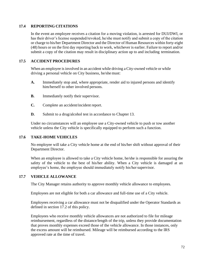# **17.4 REPORTING CITATIONS**

In the event an employee receives a citation for a moving violation, is arrested for DUI/DWI, or has their driver's license suspended/revoked, he/she must notify and submit a copy of the citation or charge to his/her Department Director and the Director of Human Resources within forty-eight (48) hours or on the first day reporting back to work, whichever is earlier. Failure to report and/or submit a copy of the citation may result in disciplinary action up to and including termination.

# **17.5 ACCIDENT PROCEDURES**

When an employee is involved in an accident while driving a City-owned vehicle or while driving a personal vehicle on City business, he/she must:

- **A.** Immediately stop and, where appropriate, render aid to injured persons and identify him/herself to other involved persons.
- **B.** Immediately notify their supervisor.
- **C.** Complete an accident/incident report.
- **D.** Submit to a drug/alcohol test in accordance to Chapter 13.

Under no circumstances will an employee use a City-owned vehicle to push or tow another vehicle unless the City vehicle is specifically equipped to perform such a function.

#### **17.6 TAKE-HOME VEHICLES**

No employee will take a City vehicle home at the end of his/her shift without approval of their Department Director.

When an employee is allowed to take a City vehicle home, he/she is responsible for assuring the safety of the vehicle to the best of his/her ability. When a City vehicle is damaged at an employee's home, the employee should immediately notify his/her supervisor.

#### **17.7 VEHICLE ALLOWANCE**

The City Manager retains authority to approve monthly vehicle allowance to employees.

Employees are not eligible for both a car allowance and full-time use of a City vehicle.

Employees receiving a car allowance must not be disqualified under the Operator Standards as defined in section 17.2 of this policy.

Employees who receive monthly vehicle allowances are not authorized to file for mileage reimbursement, regardless of the distance/length of the trip, unless they provide documentation that proves monthly expenses exceed those of the vehicle allowance. In those instances, only the excess amount will be reimbursed. Mileage will be reimbursed according to the IRS approved rate at the time of travel.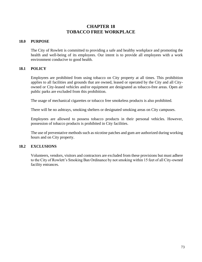# **CHAPTER 18 TOBACCO FREE WORKPLACE**

## **18.0 PURPOSE**

The City of Rowlett is committed to providing a safe and healthy workplace and promoting the health and well-being of its employees. Our intent is to provide all employees with a work environment conducive to good health.

## **18.1 POLICY**

Employees are prohibited from using tobacco on City property at all times. This prohibition applies to all facilities and grounds that are owned, leased or operated by the City and all Cityowned or City-leased vehicles and/or equipment are designated as tobacco-free areas. Open air public parks are excluded from this prohibition.

The usage of mechanical cigarettes or tobacco free smokeless products is also prohibited.

There will be no ashtrays, smoking shelters or designated smoking areas on City campuses.

Employees are allowed to possess tobacco products in their personal vehicles. However, possession of tobacco products is prohibited in City facilities.

The use of preventative methods such as nicotine patches and gum are authorized during working hours and on City property.

#### **18.2 EXCLUSIONS**

Volunteers, vendors, visitors and contractors are excluded from these provisions but must adhere to the City of Rowlett's Smoking Ban Ordinance by not smoking within 15 feet of all City-owned facility entrances.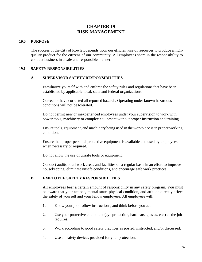# **CHAPTER 19 RISK MANAGEMENT**

## **19.0 PURPOSE**

The success of the City of Rowlett depends upon our efficient use of resources to produce a highquality product for the citizens of our community. All employees share in the responsibility to conduct business in a safe and responsible manner.

## **19.1 SAFETY RESPONSIBILITIES**

#### **A. SUPERVISOR SAFETY RESPONSIBILITIES**

Familiarize yourself with and enforce the safety rules and regulations that have been established by applicable local, state and federal organizations.

Correct or have corrected all reported hazards. Operating under known hazardous conditions will not be tolerated.

Do not permit new or inexperienced employees under your supervision to work with power tools, machinery or complex equipment without proper instruction and training.

Ensure tools, equipment, and machinery being used in the workplace is in proper working condition.

Ensure that proper personal protective equipment is available and used by employees when necessary or required.

Do not allow the use of unsafe tools or equipment.

Conduct audits of all work areas and facilities on a regular basis in an effort to improve housekeeping, eliminate unsafe conditions, and encourage safe work practices.

# **B. EMPLOYEE SAFETY RESPONSIBILITIES**

All employees bear a certain amount of responsibility in any safety program. You must be aware that your actions, mental state, physical condition, and attitude directly affect the safety of yourself and your fellow employees. All employees will:

- **1.** Know your job, follow instructions, and think before you act.
- **2.** Use your protective equipment (eye protection, hard hats, gloves, etc.) as the job requires.
- **3.** Work according to good safety practices as posted, instructed, and/or discussed.
- **4.** Use all safety devices provided for your protection.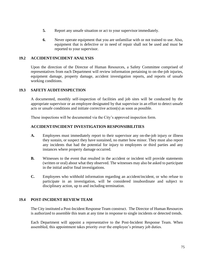- **5.** Report any unsafe situation or act to your supervisor immediately.
- **6.** Never operate equipment that you are unfamiliar with or not trained to use. Also, equipment that is defective or in need of repair shall not be used and must be reported to your supervisor.

## **19.2 ACCIDENT/INCIDENT ANALYSIS**

Upon the direction of the Director of Human Resources, a Safety Committee comprised of representatives from each Department will review information pertaining to on-the-job injuries, equipment damage, property damage, accident investigation reports, and reports of unsafe working conditions.

## **19.3 SAFETY AUDIT/INSPECTION**

A documented, monthly self-inspection of facilities and job sites will be conducted by the appropriate supervisor or an employee designated by that supervisor in an effort to detect unsafe acts or unsafe conditions and initiate corrective action(s) as soon as possible.

These inspections will be documented via the City's approved inspection form.

## **ACCIDENT/INCIDENT INVESTIGATION RESPONSIBILITIES**

- **A.** Employees must immediately report to their supervisor any on-the-job injury or illness they sustain, or suspect they have sustained, no matter how minor. They must also report any incidents that had the potential for injury to employees or third parties and any instances where property damage occurred.
- **B.** Witnesses to the event that resulted in the accident or incident will provide statements (written or oral) about what they observed. The witnesses may also be asked to participate in the initial and/or final investigations.
- **C.** Employees who withhold information regarding an accident/incident, or who refuse to participate in an investigation, will be considered insubordinate and subject to disciplinary action, up to and including termination.

#### **19.4 POST-INCIDENT REVIEW TEAM**

The City instituted a Post-Incident Response Team construct. The Director of Human Resources is authorized to assemble this team at any time in response to single incidents or detected trends.

Each Department will appoint a representative to the Post-Incident Response Team. When assembled, this appointment takes priority over the employee's primary job duties.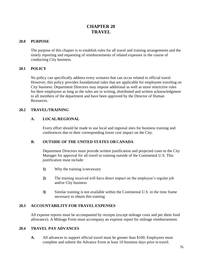# **CHAPTER 20 TRAVEL**

# **20.0 PURPOSE**

The purpose of this chapter is to establish rules for all travel and training arrangements and the timely reporting and requesting of reimbursements of related expenses in the course of conducting City business.

# **20.1 POLICY**

No policy can specifically address every scenario that can occur related to official travel. However, this policy provides foundational rules that are applicable for employees traveling on City business. Department Directors may impose additional as well as more restrictive rules for their employees as long as the rules are in writing, distributed and written acknowledgment to all members of the department and have been approved by the Director of Human Resources.

# **20.2 TRAVEL/TRAINING**

## **A. LOCAL/REGIONAL**

Every effort should be made to use local and regional sites for business training and conferences due to their corresponding lower cost impact on the City.

# **B. OUTSIDE OF THE UNITED STATES ORCANADA**

Department Directors must provide written justification and projected costs to the City Manager for approval for all travel or training outside of the Continental U.S. This justification must include:

- **1)** Why the training isnecessary
- **2)** The training received will have direct impact on the employee's regular job and/or City business
- **3)** Similar training is not available within the Continental U.S. in the time frame necessary to obtain this training

# **20.3 ACCOUNTABILITY FOR TRAVEL EXPENSES**

All expense reports must be accompanied by receipts (except mileage costs and per diem food allowance). A Mileage Form must accompany an expense report for mileage reimbursement.

## **20.4 TRAVEL PAY ADVANCES**

**A.** All advances to support official travel must be greater than \$100. Employees must complete and submit the Advance Form at least 10 business days prior to travel.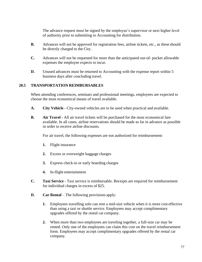The advance request must be signed by the employee's supervisor or next higher level of authority prior to submitting to Accounting for distribution.

- **B.** Advances will not be approved for registration fees, airline tickets, etc., as these should be directly charged to the City.
- **C.** Advances will not be requested for more than the anticipated out-of- pocket allowable expenses the employee expects to incur.
- **D.** Unused advances must be returned to Accounting with the expense report within 5 business days after concluding travel.

# **20.5 TRANSPORTATION REIMBURSABLES**

When attending conferences, seminars and professional meetings, employees are expected to choose the most economical means of travel available.

- **A. City Vehicle -** City-owned vehicles are to be used when practical and available.
- **B. Air Travel -** All air travel tickets will be purchased for the most economical fare available. In all cases, airline reservations should be made as far in advance as possible in order to receive airline discounts.

For air travel, the following expenses are not authorized for reimbursement:

- **1.** Flight insurance
- **2.** Excess or overweight baggage charges
- **3.** Express check-in or early boarding charges
- **4.** In-flight entertainment
- **C. Taxi Service**  Taxi service is reimbursable. Receipts are required for reimbursement for individual charges in excess of \$25.
- **D. Car Rental** The following provisions apply:
	- **1.** Employees travelling solo can rent a mid-size vehicle when it is more cost effective than using a taxi or shuttle service. Employees may accept complimentary upgrades offered by the rental car company.
	- **2.** When more than two employees are traveling together, a full-size car may be rented. Only one of the employees can claim this cost on the travel reimbursement form. Employees may accept complimentary upgrades offered by the rental car company.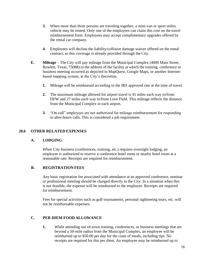- **3.** When more than three persons are traveling together, a mini-van or sport utility vehicle may be rented. Only one of the employees can claim this cost on the travel reimbursement form. Employees may accept complimentary upgrades offered by the rental car company.
- **4.** Employees will decline the liability/collision damage waiver offered on the rental contract, as this coverage is already provided through the City.
- **E. Mileage**  The City will pay mileage from the Municipal Complex (4000 Main Street, Rowlett, Texas, 75088) to the address of the facility at which the training, conference or business meeting occurred as depicted in MapQuest, Google Maps, or another Internetbased mapping system, at the City's discretion.
	- **1.** Mileage will be reimbursed according to the IRS approved rate at the time of travel.
	- **2.** The maximum mileage allowed for airport travel is 41 miles each way to/from DFW and 27 miles each way to/from Love Field. This mileage reflects the distance from the Municipal Complex to each airport.
	- **3.** "On-call" employees are not authorized for mileage reimbursement for responding to after-hours calls. This is considered a job requirement.

# **20.6 OTHER RELATED EXPENSES**

#### **A. LODGING**

When City business (conferences, training, etc.) requires overnight lodging, an employee is authorized to reserve a conference hotel room or nearby hotel room at a reasonable rate. Receipts are required for reimbursement.

# **B. REGISTRATION FEES**

Any basic registration fee associated with attendance at an approved conference, seminar or professional meeting should be charged directly to the City. In a situation when this is not feasible, the expense will be reimbursed to the employee. Receipts are required for reimbursement.

Fees for special activities such as golf tournaments, personal sightseeing tours, etc. will not be reimbursable expenses.

# **C. PER DIEM FOOD ALLOWANCE**

**1.** While attending out-of-town training, conferences, or business meetings that are beyond a 50-mile radius from the Municipal Complex, an employee will be reimbursed up to \$50.00 per day for the costs of meals, including tips. No receipts are required for this per diem. An employee may be reimbursed up to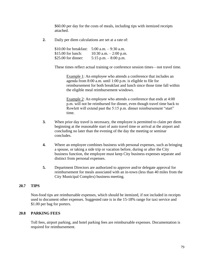\$60.00 per day for the costs of meals, including tips with itemized receipts attached.

**2.** Daily per diem calculations are set at a rate of:

| \$10.00 for breakfast: | $5:00$ a.m. $-9:30$ a.m. |
|------------------------|--------------------------|
| $$15.00$ for lunch:    | 10:30 a.m. $-2:00$ p.m.  |
| \$25.00 for dinner:    | 5:15 p.m. $-8:00$ p.m.   |

These times reflect actual training or conference session times—not travel time.

Example 1: An employee who attends a conference that includes an agenda from 8:00 a.m. until 1:00 p.m. is eligible to file for reimbursement for both breakfast and lunch since those time fall within the eligible meal reimbursement windows.

Example 2: An employee who attends a conference that ends at 4:00 p.m. will not be reimbursed for dinner, even though travel time back to Rowlett will extend past the 5:15 p.m. dinner reimbursement "start" time.

- **3.** When prior day travel is necessary, the employee is permitted to claim per diem beginning at the reasonable start of auto travel time or arrival at the airport and concluding no later than the evening of the day the meeting or seminar concludes.
- **4.** Where an employee combines business with personal expenses, such as bringing a spouse, or taking a side trip or vacation before, during or after the City business function, the employee must keep City business expenses separate and distinct from personal expenses.
- **5.** Department Directors are authorized to approve and/or delegate approval for reimbursement for meals associated with an in-town (less than 40 miles from the City Municipal Complex) business meeting.

#### **20.7 TIPS**

Non-food tips are reimbursable expenses, which should be itemized, if not included in receipts used to document other expenses. Suggested rate is in the 15-18% range for taxi service and \$1.00 per bag for porters.

### **20.8 PARKING FEES**

Toll fees, airport parking, and hotel parking fees are reimbursable expenses. Documentation is required for reimbursement.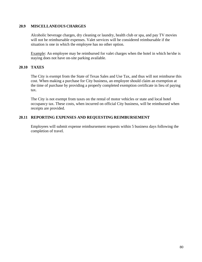## **20.9 MISCELLANEOUS CHARGES**

Alcoholic beverage charges, dry cleaning or laundry, health club or spa, and pay TV movies will not be reimbursable expenses. Valet services will be considered reimbursable if the situation is one in which the employee has no other option.

Example: An employee may be reimbursed for valet charges when the hotel in which he/she is staying does not have on-site parking available.

# **20.10 TAXES**

The City is exempt from the State of Texas Sales and Use Tax, and thus will not reimburse this cost. When making a purchase for City business, an employee should claim an exemption at the time of purchase by providing a properly completed exemption certificate in lieu of paying tax.

The City is not exempt from taxes on the rental of motor vehicles or state and local hotel occupancy tax. These costs, when incurred on official City business, will be reimbursed when receipts are provided.

# **20.11 REPORTING EXPENSES AND REQUESTING REIMBURSEMENT**

Employees will submit expense reimbursement requests within 5 business days following the completion of travel.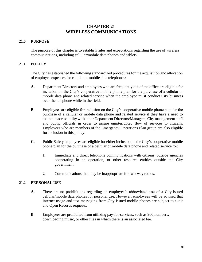# **CHAPTER 21 WIRELESS COMMUNICATIONS**

# **21.0 PURPOSE**

The purpose of this chapter is to establish rules and expectations regarding the use of wireless communications, including cellular/mobile data phones and tablets.

# **21.1 POLICY**

The City has established the following standardized procedures for the acquisition and allocation of employee expenses for cellular or mobile data telephones:

- **A.** Department Directors and employees who are frequently out of the office are eligible for inclusion on the City's cooperative mobile phone plan for the purchase of a cellular or mobile data phone and related service when the employee must conduct City business over the telephone while in the field.
- **B.** Employees are eligible for inclusion on the City's cooperative mobile phone plan for the purchase of a cellular or mobile data phone and related service if they have a need to maintain accessibility with other Department Directors/Managers, City management staff and public officials in order to assure uninterrupted flow of services to citizens. Employees who are members of the Emergency Operations Plan group are also eligible for inclusion in this policy.
- **C.** Public Safety employees are eligible for either inclusion on the City's cooperative mobile phone plan for the purchase of a cellular or mobile data phone and related service for:
	- **1.** Immediate and direct telephone communications with citizens, outside agencies cooperating in an operation, or other resource entities outside the City government.
	- **2.** Communications that may be inappropriate for two-way radios.

# **21.2 PERSONAL USE**

- **A.** There are no prohibitions regarding an employee's abbreviated use of a City-issued cellular/mobile data phones for personal use. However, employees will be advised that internet usage and text messaging from City-issued mobile phones are subject to audit and Open Records requests.
- **B.** Employees are prohibited from utilizing pay-for-services, such as 900 numbers, downloading music, or other files in which there is an associated fee.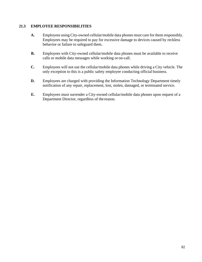# **21.3 EMPLOYEE RESPONSIBILITIES**

- **A.** Employees using City-owned cellular/mobile data phones must care for them responsibly. Employees may be required to pay for excessive damage to devices caused by reckless behavior or failure to safeguard them.
- **B.** Employees with City-owned cellular/mobile data phones must be available to receive calls or mobile data messages while working or on-call.
- **C.** Employees will not use the cellular/mobile data phones while driving a City vehicle. The only exception to this is a public safety employee conducting official business.
- **D.** Employees are charged with providing the Information Technology Department timely notification of any repair, replacement, lost, stolen, damaged, or terminated service.
- **E.** Employees must surrender a City-owned cellular/mobile data phones upon request of a Department Director, regardless of the reason.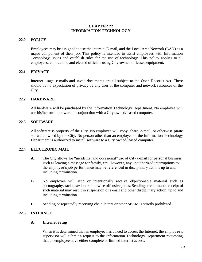## **CHAPTER 22 INFORMATION TECHNOLOGY**

## **22.0 POLICY**

Employees may be assigned to use the internet, E-mail, and the Local Area Network (LAN) as a major component of their job. This policy is intended to assist employees with Information Technology issues and establish rules for the use of technology. This policy applies to all employees, contractors, and elected officials using City-owned or leased equipment.

# **22.1 PRIVACY**

Internet usage, e-mails and saved documents are all subject to the Open Records Act. There should be no expectation of privacy by any user of the computer and network resources of the City.

## **22.2 HARDWARE**

All hardware will be purchased by the Information Technology Department. No employee will use his/her own hardware in conjunction with a City owned/leased computer.

#### **22.3 SOFTWARE**

All software is property of the City. No employee will copy, share, e-mail, or otherwise pirate software owned by the City. No person other than an employee of the Information Technology Department is authorized to install software to a City owned/leased computer.

#### **22.4 ELECTRONIC MAIL**

- **A.** The City allows for "incidental and occasional" use of City e-mail for personal business such as leaving a message for family, etc. However, any unauthorized interruptions to the employee's job performance may be referenced in disciplinary actions up to and including termination.
- **B.** No employee will send or intentionally receive objectionable material such as pornography, racist, sexist or otherwise offensive jokes. Sending or continuous receipt of such material may result in suspension of e-mail and other disciplinary action, up to and including termination.
- **C.** Sending or repeatedly receiving chain letters or other SPAM is strictly prohibited.

# **22.5 INTERNET**

#### **A. Internet Setup**

When it is determined that an employee has a need to access the Internet, the employee's supervisor will submit a request to the Information Technology Department requesting that an employee have either complete or limited internet access.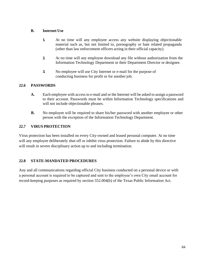# **B. Internet Use**

- **1.** At no time will any employee access any website displaying objectionable material such as, but not limited to, pornography or hate related propaganda (other than law enforcement officers acting in their official capacity).
- **2.** At no time will any employee download any file without authorization from the Information Technology Department or their Department Director or designee.
- **3.** No employee will use City Internet or e-mail for the purpose of conducting business for profit or for another job.

# **22.6 PASSWORDS**

- **A.** Each employee with access to e-mail and or the Internet will be asked to assign a password to their account. Passwords must be within Information Technology specifications and will not include objectionable phrases.
- **B.** No employee will be required to share his/her password with another employee or other person with the exception of the Information Technology Department.

# **22.7 VIRUS PROTECTION**

Virus protection has been installed on every City-owned and leased personal computer. At no time will any employee deliberately shut off or inhibit virus protection. Failure to abide by this directive will result in severe disciplinary action up to and including termination.

# **22.8 STATE-MANDATED PROCEDURES**

Any and all communications regarding official City business conducted on a personal device or with a personal account is required to be captured and sent to the employee's own City email account for record-keeping purposes as required by section 552.004(b) of the Texas Public Information Act.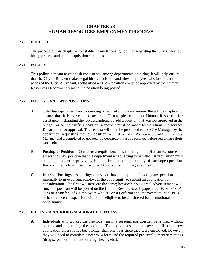# **CHAPTER 23 HUMAN RESOURCES EMPLOYMENT PROCESS**

# **23.0 PURPOSE**

The purpose of this chapter is to establish foundational guidelines regarding the City's vacancy hiring process and talent acquisition strategies.

# **23.1 POLICY**

This policy is meant to establish consistency among departments on hiring. It will help ensure that the City of Rowlett makes legal hiring decisions and hires employees who best meet the needs of the City. All vacant, reclassified and new positions must be approved by the Human Resources Department prior to the position being posted.

# **23.2 POSTING VACANT POSITIONS**

- **A. Job Description** Prior to creating a requisition, please review the job description to ensure that it is correct and accurate. If not, please contact Human Resources for assistance in changing the job description. To add a position that was not approved in the budget, or to reclassify a position, a request must be made to the Human Resources Department for approval. The request will then be presented to the City Manager by the department requesting the new position for final decision. Written approval from the City Manager and a completed or updated job description must be received before recruiting efforts can begin.
- **B. Posting of Position** Complete a requisition. This formally alerts Human Resources of a vacant or new position that the department is requesting to be filled*.* A requisition must be completed and approved by Human Resources in its entirety of each open position. Recruiting efforts will begin within 48 hours of submitting a requisition.
- *C.* **Internal Postings**  All hiring supervisors have the option of posting any position internally to give current employees the opportunity to submit an application for consideration. The first two steps are the same; however, no external advertisement will run. The position will be posted on the Human Resources web page under *Promotional Jobs* or *Transfer Jobs.* Employees who are on a Performance Improvement Plan (PIP) or have a recent suspension will not be eligible to be considered for promotional opportunities.

# **23.3 FILLING RECURRING SEASONAL POSITIONS**

**A.** Individuals who worked the previous year in a seasonal position can be rehired without posting and advertising the position. The individuals do not have to fill out a new application unless it has been longer than one year since they were employed; however, they will need to complete a new W-4 form and the required pre-employment screenings (drug screen, criminal and driving checks, etc.).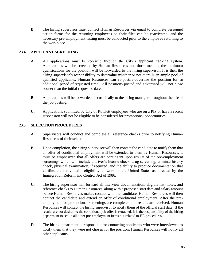**B.** The hiring supervisor must contact Human Resources via email to complete personnel action forms for the returning employees so their files can be reactivated, and the necessary pre-employment testing must be conducted prior to the employee returning to the workplace.

# **23.4 APPLICANT SCREENING**

- **A.** All applications must be received through the City's applicant tracking system. Applications will be screened by Human Resources and those meeting the minimum qualifications for the position will be forwarded to the hiring supervisor. It is then the hiring supervisor's responsibility to determine whether or not there is an ample pool of qualified applicants. Human Resources can re-post/re-advertise the position for an additional period of requested time. All positions posted and advertised will not close sooner than the initial requested date.
- **B.** Applications will be forwarded electronically to the hiring manager throughout the life of the job posting.
- **C.** Applications submitted by City of Rowlett employees who are on a PIP or have a recent suspension will not be eligible to be considered for promotional opportunities.

# **23.5 SELECTION PROCEDURES**

- **A.** Supervisors will conduct and complete all reference checks prior to notifying Human Resources of their selection.
- **B.** Upon completion, the hiring supervisor will then contact the candidate to notify them that an offer of conditional employment will be extended to them by Human Resources. It must be emphasized that all offers are contingent upon results of the pre-employment screenings which will include a driver's license check, drug screening, criminal history check, physical examination, if required, and the ability to produce documentation that verifies the individual's eligibility to work in the United States as directed by the Immigration Reform and Control Act of 1986.
- **C.** The hiring supervisor will forward all interview documentation, eligible list, notes, and reference checks to Human Resources, along with a proposed start date and salary amount before Human Resources makes contact with the candidate. Human Resources will then contact the candidate and extend an offer of conditional employment. After the preemployment or promotional screenings are completed and results are received, Human Resources will contact the hiring supervisor to notify them of the official start date. If the results are not desirable; the conditional job offer is retracted. It is the responsibility of the hiring department to set up all other pre-employment items not related to HR procedures.
- **D.** The hiring department is responsible for contacting applicants who were interviewed to notify them that they were not chosen for the position; Human Resources will notify all other applicants.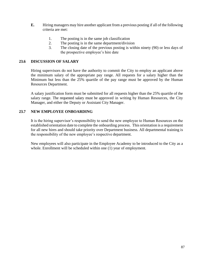- **E.** Hiring managers may hire another applicant from a previous posting if all of the following criteria are met:
	- 1. The posting is in the same job classification
	- 2. The posting is in the same department/division
	- 3. The closing date of the previous posting is within ninety (90) or less days of the prospective employee's hire date

### **23.6 DISCUSSION OF SALARY**

Hiring supervisors do not have the authority to commit the City to employ an applicant above the minimum salary of the appropriate pay range. All requests for a salary higher than the Minimum but less than the 25% quartile of the pay range must be approved by the Human Resources Department.

A salary justification form must be submitted for all requests higher than the 25% quartile of the salary range. The requested salary must be approved in writing by Human Resources, the City Manager, and either the Deputy or Assistant City Manager.

# **23.7 NEW EMPLOYEE ONBOARDING**

It is the hiring supervisor's responsibility to send the new employee to Human Resources on the established orientation date to complete the onboarding process. This orientation is a requirement for all new hires and should take priority over Department business. All departmental training is the responsibility of the new employee's respective department.

New employees will also participate in the Employee Academy to be introduced to the City as a whole. Enrollment will be scheduled within one (1) year of employment.